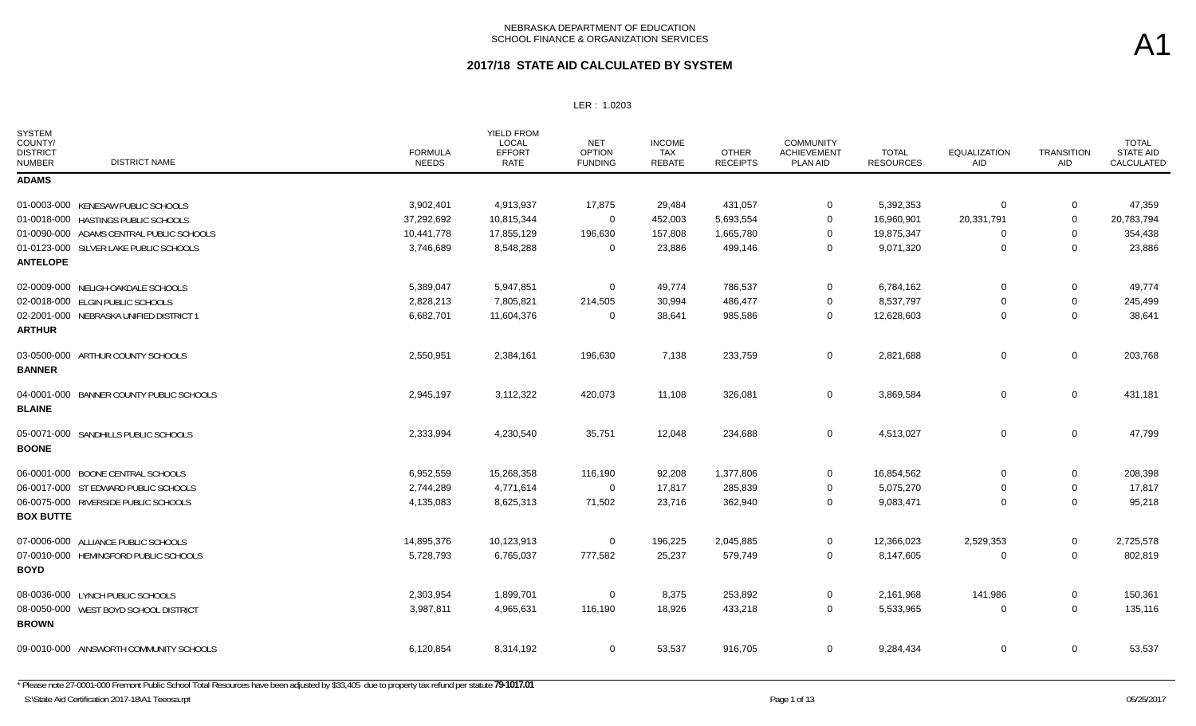# A1

| <b>SYSTEM</b><br>COUNTY/<br><b>DISTRICT</b><br><b>DISTRICT NAME</b><br><b>NUMBER</b> | <b>FORMULA</b><br><b>NEEDS</b> | <b>YIELD FROM</b><br>LOCAL<br><b>EFFORT</b><br>RATE | <b>NET</b><br><b>OPTION</b><br><b>FUNDING</b> | <b>INCOME</b><br>TAX<br><b>REBATE</b> | <b>OTHER</b><br><b>RECEIPTS</b> | <b>COMMUNITY</b><br><b>ACHIEVEMENT</b><br>PLAN AID | <b>TOTAL</b><br><b>RESOURCES</b> | <b>EQUALIZATION</b><br>AID | <b>TRANSITION</b><br>AID | <b>TOTAL</b><br><b>STATE AID</b><br>CALCULATED |
|--------------------------------------------------------------------------------------|--------------------------------|-----------------------------------------------------|-----------------------------------------------|---------------------------------------|---------------------------------|----------------------------------------------------|----------------------------------|----------------------------|--------------------------|------------------------------------------------|
| <b>ADAMS</b>                                                                         |                                |                                                     |                                               |                                       |                                 |                                                    |                                  |                            |                          |                                                |
| 01-0003-000 KENESAW PUBLIC SCHOOLS                                                   | 3,902,401                      | 4,913,937                                           | 17,875                                        | 29,484                                | 431,057                         | $\overline{0}$                                     | 5,392,353                        | $\Omega$                   | 0                        | 47,359                                         |
| 01-0018-000 HASTINGS PUBLIC SCHOOLS                                                  | 37,292,692                     | 10.815.344                                          | $\overline{0}$                                | 452,003                               | 5,693,554                       | $\mathbf 0$                                        | 16,960,901                       | 20,331,791                 | $\Omega$                 | 20,783,794                                     |
| 01-0090-000 ADAMS CENTRAL PUBLIC SCHOOLS                                             | 10,441,778                     | 17,855,129                                          | 196,630                                       | 157,808                               | 1,665,780                       | $\overline{0}$                                     | 19,875,347                       | 0                          | 0                        | 354,438                                        |
| 01-0123-000 SILVER LAKE PUBLIC SCHOOLS<br><b>ANTELOPE</b>                            | 3,746,689                      | 8,548,288                                           | $\overline{0}$                                | 23,886                                | 499,146                         | $\mathbf 0$                                        | 9,071,320                        | $\Omega$                   | $\mathbf 0$              | 23,886                                         |
| 02-0009-000 NELIGH-OAKDALE SCHOOLS                                                   | 5,389,047                      | 5,947,851                                           | $\overline{0}$                                | 49,774                                | 786,537                         | $\mathbf 0$                                        | 6,784,162                        | $\mathbf 0$                | 0                        | 49,774                                         |
| 02-0018-000 ELGIN PUBLIC SCHOOLS                                                     | 2,828,213                      | 7,805,821                                           | 214,505                                       | 30,994                                | 486,477                         | $\mathbf 0$                                        | 8,537,797                        | $\Omega$                   | 0                        | 245,499                                        |
| 02-2001-000 NEBRASKA UNIFIED DISTRICT 1<br><b>ARTHUR</b>                             | 6,682,701                      | 11,604,376                                          | $\overline{0}$                                | 38,641                                | 985,586                         | $\mathbf 0$                                        | 12,628,603                       | $\Omega$                   | $\mathbf 0$              | 38,641                                         |
| 03-0500-000 ARTHUR COUNTY SCHOOLS<br><b>BANNER</b>                                   | 2,550,951                      | 2,384,161                                           | 196,630                                       | 7,138                                 | 233,759                         | $\mathbf 0$                                        | 2,821,688                        | 0                          | $\mathbf 0$              | 203,768                                        |
| 04-0001-000 BANNER COUNTY PUBLIC SCHOOLS<br><b>BLAINE</b>                            | 2,945,197                      | 3,112,322                                           | 420,073                                       | 11,108                                | 326,081                         | $\mathbf 0$                                        | 3,869,584                        | 0                          | $\mathbf 0$              | 431,181                                        |
| 05-0071-000 SANDHILLS PUBLIC SCHOOLS<br><b>BOONE</b>                                 | 2,333,994                      | 4,230,540                                           | 35,751                                        | 12,048                                | 234,688                         | $\overline{0}$                                     | 4,513,027                        | 0                          | $\mathbf 0$              | 47,799                                         |
| 06-0001-000 BOONE CENTRAL SCHOOLS                                                    | 6,952,559                      | 15,268,358                                          | 116,190                                       | 92,208                                | 1,377,806                       | $\Omega$                                           | 16,854,562                       | $\Omega$                   | 0                        | 208,398                                        |
| 06-0017-000 ST EDWARD PUBLIC SCHOOLS                                                 | 2,744,289                      | 4,771,614                                           | $\mathbf 0$                                   | 17,817                                | 285,839                         | $\mathbf 0$                                        | 5,075,270                        | $\Omega$                   | $\mathbf 0$              | 17,817                                         |
| 06-0075-000 RIVERSIDE PUBLIC SCHOOLS<br><b>BOX BUTTE</b>                             | 4,135,083                      | 8,625,313                                           | 71,502                                        | 23,716                                | 362,940                         | $\overline{0}$                                     | 9,083,471                        | $\Omega$                   | $\mathbf 0$              | 95,218                                         |
| 07-0006-000 ALLIANCE PUBLIC SCHOOLS                                                  | 14,895,376                     | 10,123,913                                          | $\overline{0}$                                | 196,225                               | 2,045,885                       | $\mathbf 0$                                        | 12,366,023                       | 2,529,353                  | 0                        | 2,725,578                                      |
| 07-0010-000 HEMINGFORD PUBLIC SCHOOLS<br><b>BOYD</b>                                 | 5,728,793                      | 6,765,037                                           | 777,582                                       | 25,237                                | 579,749                         | $\mathbf 0$                                        | 8,147,605                        | $\Omega$                   | $\mathbf 0$              | 802,819                                        |
| 08-0036-000 LYNCH PUBLIC SCHOOLS                                                     | 2,303,954                      | 1,899,701                                           | $\mathbf 0$                                   | 8,375                                 | 253,892                         | $\mathbf 0$                                        | 2,161,968                        | 141,986                    | $\mathbf 0$              | 150,361                                        |
| 08-0050-000 WEST BOYD SCHOOL DISTRICT<br><b>BROWN</b>                                | 3,987,811                      | 4,965,631                                           | 116,190                                       | 18,926                                | 433,218                         | $\mathbf 0$                                        | 5,533,965                        | $\Omega$                   | $\mathbf 0$              | 135,116                                        |
| 09-0010-000 AINSWORTH COMMUNITY SCHOOLS                                              | 6,120,854                      | 8,314,192                                           | $\mathbf 0$                                   | 53,537                                | 916,705                         | $\mathbf 0$                                        | 9,284,434                        | 0                          | 0                        | 53,537                                         |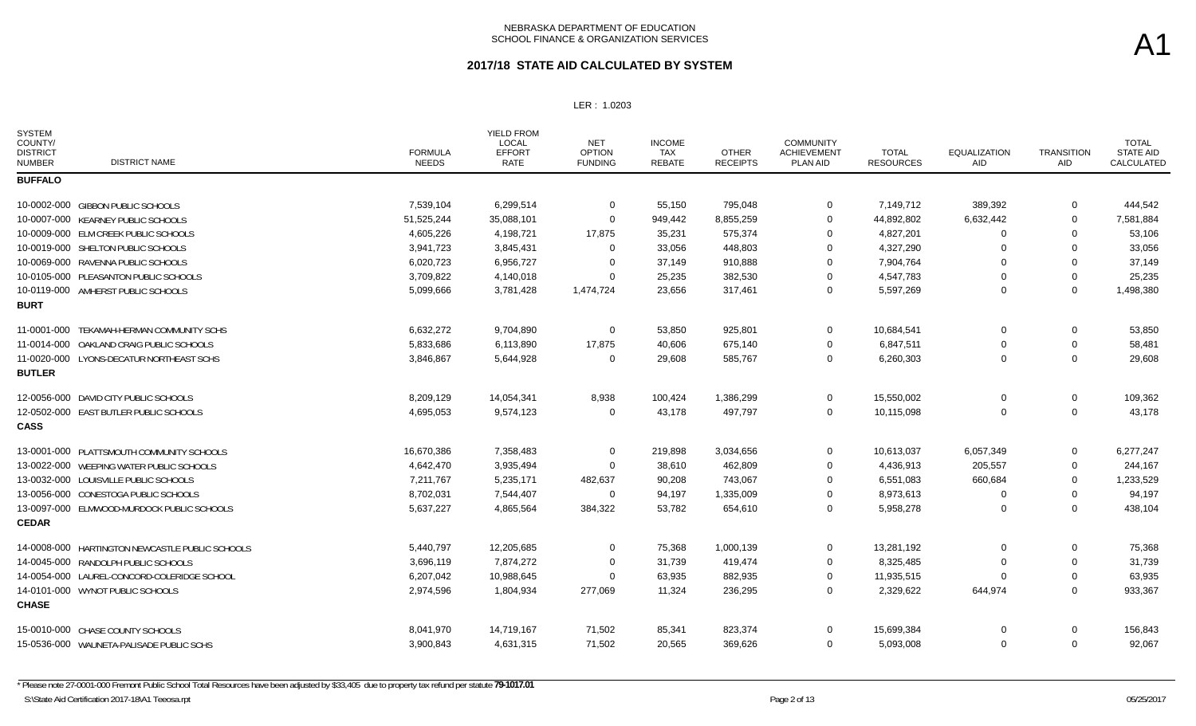### **2017/18 STATE AID CALCULATED BY SYSTEM**

LER : 1.0203

| <b>SYSTEM</b><br>COUNTY/<br><b>DISTRICT</b><br><b>NUMBER</b> | <b>DISTRICT NAME</b>                            | <b>FORMULA</b><br><b>NEEDS</b> | YIELD FROM<br><b>LOCAL</b><br><b>EFFORT</b><br>RATE | <b>NET</b><br><b>OPTION</b><br><b>FUNDING</b> | <b>INCOME</b><br><b>TAX</b><br>REBATE | <b>OTHER</b><br><b>RECEIPTS</b> | <b>COMMUNITY</b><br><b>ACHIEVEMENT</b><br>PLAN AID | <b>TOTAL</b><br><b>RESOURCES</b> | <b>EQUALIZATION</b><br>AID | <b>TRANSITION</b><br><b>AID</b> | <b>TOTAL</b><br><b>STATE AID</b><br>CALCULATED |
|--------------------------------------------------------------|-------------------------------------------------|--------------------------------|-----------------------------------------------------|-----------------------------------------------|---------------------------------------|---------------------------------|----------------------------------------------------|----------------------------------|----------------------------|---------------------------------|------------------------------------------------|
| <b>BUFFALO</b>                                               |                                                 |                                |                                                     |                                               |                                       |                                 |                                                    |                                  |                            |                                 |                                                |
|                                                              | 10-0002-000 GIBBON PUBLIC SCHOOLS               | 7,539,104                      | 6,299,514                                           | $\mathbf 0$                                   | 55,150                                | 795,048                         | $\mathbf 0$                                        | 7,149,712                        | 389,392                    | $\mathbf 0$                     | 444,542                                        |
|                                                              | 10-0007-000 KEARNEY PUBLIC SCHOOLS              | 51,525,244                     | 35,088,101                                          | $\Omega$                                      | 949,442                               | 8,855,259                       | $\mathbf 0$                                        | 44,892,802                       | 6,632,442                  | $\mathbf 0$                     | 7,581,884                                      |
|                                                              | 10-0009-000 ELM CREEK PUBLIC SCHOOLS            | 4,605,226                      | 4,198,721                                           | 17,875                                        | 35,231                                | 575,374                         | $\Omega$                                           | 4,827,201                        | $\Omega$                   | $\Omega$                        | 53,106                                         |
|                                                              | 10-0019-000 SHELTON PUBLIC SCHOOLS              | 3,941,723                      | 3,845,431                                           | $\Omega$                                      | 33,056                                | 448,803                         | $\Omega$                                           | 4,327,290                        | $\Omega$                   | $\Omega$                        | 33,056                                         |
|                                                              | 10-0069-000 RAVENNA PUBLIC SCHOOLS              | 6,020,723                      | 6,956,727                                           | $\Omega$                                      | 37,149                                | 910,888                         | $\Omega$                                           | 7,904,764                        | $\Omega$                   | $\mathbf 0$                     | 37,149                                         |
|                                                              | 10-0105-000 PLEASANTON PUBLIC SCHOOLS           | 3,709,822                      | 4,140,018                                           | $\Omega$                                      | 25,235                                | 382,530                         | $\Omega$                                           | 4,547,783                        | $\Omega$                   | $\mathbf 0$                     | 25,235                                         |
|                                                              | 10-0119-000 AMHERST PUBLIC SCHOOLS              | 5,099,666                      | 3,781,428                                           | 1,474,724                                     | 23,656                                | 317,461                         | $\Omega$                                           | 5,597,269                        | $\Omega$                   | $\Omega$                        | 1,498,380                                      |
| <b>BURT</b>                                                  |                                                 |                                |                                                     |                                               |                                       |                                 |                                                    |                                  |                            |                                 |                                                |
| 11-0001-000                                                  | TEKAMAH-HERMAN COMMUNITY SCHS                   | 6,632,272                      | 9,704,890                                           | $\mathbf 0$                                   | 53,850                                | 925,801                         | $\mathbf 0$                                        | 10,684,541                       | 0                          | 0                               | 53,850                                         |
|                                                              | 11-0014-000 OAKLAND CRAIG PUBLIC SCHOOLS        | 5,833,686                      | 6,113,890                                           | 17,875                                        | 40.606                                | 675,140                         | $\Omega$                                           | 6,847,511                        | $\Omega$                   | $\mathbf 0$                     | 58,481                                         |
|                                                              | 11-0020-000 LYONS-DECATUR NORTHEAST SCHS        | 3,846,867                      | 5,644,928                                           | $\Omega$                                      | 29,608                                | 585,767                         | $\Omega$                                           | 6,260,303                        | $\Omega$                   | $\Omega$                        | 29.608                                         |
| <b>BUTLER</b>                                                |                                                 |                                |                                                     |                                               |                                       |                                 |                                                    |                                  |                            |                                 |                                                |
|                                                              | 12-0056-000 DAVID CITY PUBLIC SCHOOLS           | 8,209,129                      | 14,054,341                                          | 8,938                                         | 100,424                               | 1,386,299                       | $\Omega$                                           | 15,550,002                       | 0                          | 0                               | 109,362                                        |
|                                                              | 12-0502-000 EAST BUTLER PUBLIC SCHOOLS          | 4,695,053                      | 9,574,123                                           | $\mathbf 0$                                   | 43,178                                | 497,797                         | $\mathbf 0$                                        | 10,115,098                       | $\Omega$                   | $\mathbf 0$                     | 43,178                                         |
| <b>CASS</b>                                                  |                                                 |                                |                                                     |                                               |                                       |                                 |                                                    |                                  |                            |                                 |                                                |
|                                                              | 13-0001-000 PLATTSMOUTH COMMUNITY SCHOOLS       | 16,670,386                     | 7,358,483                                           | $\Omega$                                      | 219,898                               | 3,034,656                       | $\Omega$                                           | 10,613,037                       | 6,057,349                  | $\Omega$                        | 6,277,247                                      |
|                                                              | 13-0022-000 WEEPING WATER PUBLIC SCHOOLS        | 4,642,470                      | 3,935,494                                           | $\Omega$                                      | 38,610                                | 462,809                         | $\Omega$                                           | 4,436,913                        | 205,557                    | $\Omega$                        | 244,167                                        |
|                                                              | 13-0032-000 LOUISVILLE PUBLIC SCHOOLS           | 7,211,767                      | 5,235,171                                           | 482,637                                       | 90,208                                | 743,067                         | $\Omega$                                           | 6,551,083                        | 660,684                    | $\Omega$                        | 1,233,529                                      |
|                                                              | 13-0056-000 CONESTOGA PUBLIC SCHOOLS            | 8,702,031                      | 7,544,407                                           | $\Omega$                                      | 94,197                                | 1,335,009                       | $\Omega$                                           | 8,973,613                        | $\Omega$                   | $\mathbf 0$                     | 94,197                                         |
|                                                              | 13-0097-000 ELMWOOD-MURDOCK PUBLIC SCHOOLS      | 5,637,227                      | 4,865,564                                           | 384,322                                       | 53,782                                | 654,610                         | $\Omega$                                           | 5,958,278                        | $\Omega$                   | $\Omega$                        | 438,104                                        |
| <b>CEDAR</b>                                                 |                                                 |                                |                                                     |                                               |                                       |                                 |                                                    |                                  |                            |                                 |                                                |
|                                                              | 14-0008-000 HARTINGTON NEWCASTLE PUBLIC SCHOOLS | 5,440,797                      | 12,205,685                                          | $\mathbf 0$                                   | 75,368                                | 1,000,139                       | $\mathbf 0$                                        | 13,281,192                       | 0                          | 0                               | 75,368                                         |
|                                                              | 14-0045-000 RANDOLPH PUBLIC SCHOOLS             | 3,696,119                      | 7,874,272                                           | $\Omega$                                      | 31,739                                | 419,474                         | $\Omega$                                           | 8,325,485                        | $\Omega$                   | $\mathbf 0$                     | 31,739                                         |
|                                                              | 14-0054-000 LAUREL-CONCORD-COLERIDGE SCHOOL     | 6,207,042                      | 10,988,645                                          | $\Omega$                                      | 63,935                                | 882,935                         | $\mathbf 0$                                        | 11,935,515                       | $\Omega$                   | $\mathbf 0$                     | 63,935                                         |
|                                                              | 14-0101-000 WYNOT PUBLIC SCHOOLS                | 2,974,596                      | 1,804,934                                           | 277,069                                       | 11,324                                | 236,295                         | $\Omega$                                           | 2,329,622                        | 644,974                    | $\mathbf 0$                     | 933,367                                        |
| <b>CHASE</b>                                                 |                                                 |                                |                                                     |                                               |                                       |                                 |                                                    |                                  |                            |                                 |                                                |
|                                                              | 15-0010-000 CHASE COUNTY SCHOOLS                | 8,041,970                      | 14,719,167                                          | 71,502                                        | 85,341                                | 823,374                         | $\mathbf 0$                                        | 15,699,384                       | 0                          | $\mathbf 0$                     | 156,843                                        |
|                                                              | 15-0536-000 WAUNETA-PALISADE PUBLIC SCHS        | 3,900,843                      | 4,631,315                                           | 71,502                                        | 20,565                                | 369,626                         | $\Omega$                                           | 5,093,008                        | $\Omega$                   | $\Omega$                        | 92,067                                         |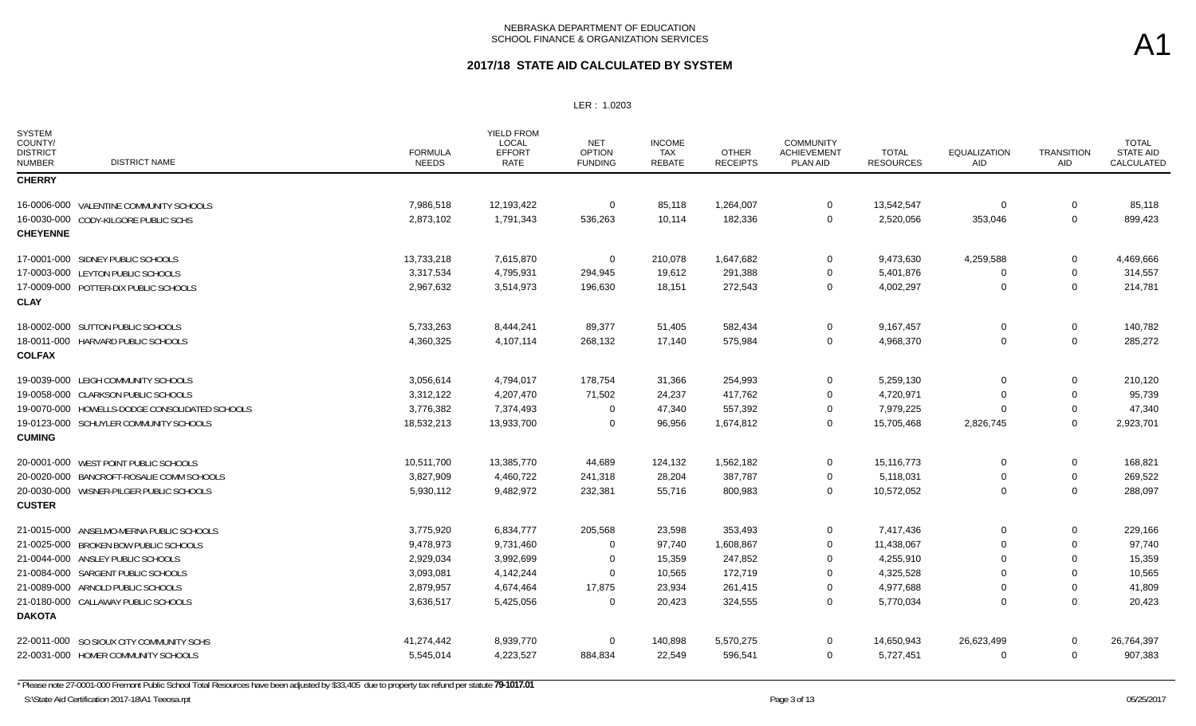### **2017/18 STATE AID CALCULATED BY SYSTEM**

LER : 1.0203

| <b>SYSTEM</b><br>COUNTY/<br><b>DISTRICT</b><br><b>NUMBER</b> | <b>DISTRICT NAME</b>                           | <b>FORMULA</b><br><b>NEEDS</b> | <b>YIELD FROM</b><br><b>LOCAL</b><br><b>EFFORT</b><br>RATE | <b>NET</b><br><b>OPTION</b><br><b>FUNDING</b> | <b>INCOME</b><br><b>TAX</b><br>REBATE | <b>OTHER</b><br><b>RECEIPTS</b> | <b>COMMUNITY</b><br><b>ACHIEVEMENT</b><br>PLAN AID | <b>TOTAL</b><br><b>RESOURCES</b> | <b>EQUALIZATION</b><br>AID | <b>TRANSITION</b><br>AID | <b>TOTAL</b><br><b>STATE AID</b><br>CALCULATED |
|--------------------------------------------------------------|------------------------------------------------|--------------------------------|------------------------------------------------------------|-----------------------------------------------|---------------------------------------|---------------------------------|----------------------------------------------------|----------------------------------|----------------------------|--------------------------|------------------------------------------------|
| <b>CHERRY</b>                                                |                                                |                                |                                                            |                                               |                                       |                                 |                                                    |                                  |                            |                          |                                                |
|                                                              | 16-0006-000 VALENTINE COMMUNITY SCHOOLS        | 7,986,518                      | 12,193,422                                                 | $\mathbf 0$                                   | 85,118                                | 1,264,007                       | $\mathbf 0$                                        | 13,542,547                       | $\Omega$                   | 0                        | 85,118                                         |
|                                                              | 16-0030-000 CODY-KILGORE PUBLIC SCHS           | 2,873,102                      | 1,791,343                                                  | 536,263                                       | 10,114                                | 182,336                         | $\mathbf 0$                                        | 2,520,056                        | 353,046                    | $\mathbf 0$              | 899,423                                        |
| <b>CHEYENNE</b>                                              |                                                |                                |                                                            |                                               |                                       |                                 |                                                    |                                  |                            |                          |                                                |
|                                                              | 17-0001-000 SIDNEY PUBLIC SCHOOLS              | 13,733,218                     | 7,615,870                                                  | 0                                             | 210,078                               | 1,647,682                       | $\mathbf 0$                                        | 9,473,630                        | 4,259,588                  | 0                        | 4,469,666                                      |
|                                                              | 17-0003-000 LEYTON PUBLIC SCHOOLS              | 3,317,534                      | 4,795,931                                                  | 294,945                                       | 19,612                                | 291,388                         | $\mathbf 0$                                        | 5,401,876                        | $\Omega$                   | 0                        | 314,557                                        |
|                                                              | 17-0009-000 POTTER-DIX PUBLIC SCHOOLS          | 2,967,632                      | 3,514,973                                                  | 196,630                                       | 18,151                                | 272,543                         | $\mathbf 0$                                        | 4,002,297                        | $\Omega$                   | $\mathbf 0$              | 214,781                                        |
| <b>CLAY</b>                                                  |                                                |                                |                                                            |                                               |                                       |                                 |                                                    |                                  |                            |                          |                                                |
|                                                              | 18-0002-000 SUTTON PUBLIC SCHOOLS              | 5,733,263                      | 8,444,241                                                  | 89,377                                        | 51,405                                | 582,434                         | $\overline{0}$                                     | 9,167,457                        | $\mathbf 0$                | $\mathbf 0$              | 140,782                                        |
|                                                              | 18-0011-000 HARVARD PUBLIC SCHOOLS             | 4,360,325                      | 4,107,114                                                  | 268,132                                       | 17,140                                | 575,984                         | $\mathbf 0$                                        | 4,968,370                        | $\Omega$                   | $\mathbf 0$              | 285,272                                        |
| <b>COLFAX</b>                                                |                                                |                                |                                                            |                                               |                                       |                                 |                                                    |                                  |                            |                          |                                                |
|                                                              | 19-0039-000 LEIGH COMMUNITY SCHOOLS            | 3,056,614                      | 4,794,017                                                  | 178,754                                       | 31,366                                | 254,993                         | $\mathbf 0$                                        | 5,259,130                        | $\Omega$                   | 0                        | 210,120                                        |
|                                                              | 19-0058-000 CLARKSON PUBLIC SCHOOLS            | 3,312,122                      | 4,207,470                                                  | 71.502                                        | 24,237                                | 417,762                         | $\Omega$                                           | 4,720,971                        | $\Omega$                   | $\Omega$                 | 95,739                                         |
|                                                              | 19-0070-000 HOWELLS-DODGE CONSOLIDATED SCHOOLS | 3,776,382                      | 7,374,493                                                  | $\mathbf 0$                                   | 47,340                                | 557,392                         | $\mathbf 0$                                        | 7,979,225                        | $\Omega$                   | 0                        | 47,340                                         |
|                                                              | 19-0123-000 SCHUYLER COMMUNITY SCHOOLS         | 18,532,213                     | 13,933,700                                                 | $\Omega$                                      | 96,956                                | 1,674,812                       | $\overline{0}$                                     | 15,705,468                       | 2,826,745                  | $\mathbf 0$              | 2,923,701                                      |
| <b>CUMING</b>                                                |                                                |                                |                                                            |                                               |                                       |                                 |                                                    |                                  |                            |                          |                                                |
|                                                              | 20-0001-000 WEST POINT PUBLIC SCHOOLS          | 10,511,700                     | 13,385,770                                                 | 44,689                                        | 124,132                               | 1,562,182                       | 0                                                  | 15,116,773                       | 0                          | 0                        | 168,821                                        |
|                                                              | 20-0020-000 BANCROFT-ROSALIE COMM SCHOOLS      | 3,827,909                      | 4,460,722                                                  | 241,318                                       | 28,204                                | 387,787                         | 0                                                  | 5,118,031                        | 0                          | 0                        | 269,522                                        |
|                                                              | 20-0030-000 WISNER-PILGER PUBLIC SCHOOLS       | 5,930,112                      | 9,482,972                                                  | 232,381                                       | 55,716                                | 800,983                         | $\mathbf 0$                                        | 10,572,052                       | $\Omega$                   | $\mathbf 0$              | 288,097                                        |
| <b>CUSTER</b>                                                |                                                |                                |                                                            |                                               |                                       |                                 |                                                    |                                  |                            |                          |                                                |
|                                                              | 21-0015-000 ANSELMO-MERNA PUBLIC SCHOOLS       | 3,775,920                      | 6,834,777                                                  | 205,568                                       | 23,598                                | 353,493                         | $\mathbf 0$                                        | 7,417,436                        | $\Omega$                   | 0                        | 229,166                                        |
|                                                              | 21-0025-000 BROKEN BOW PUBLIC SCHOOLS          | 9,478,973                      | 9,731,460                                                  | $\Omega$                                      | 97,740                                | 1,608,867                       | $\overline{0}$                                     | 11,438,067                       | $\Omega$                   | $\mathbf 0$              | 97,740                                         |
|                                                              | 21-0044-000 ANSLEY PUBLIC SCHOOLS              | 2,929,034                      | 3,992,699                                                  | $\mathbf 0$                                   | 15,359                                | 247,852                         | $\Omega$                                           | 4,255,910                        | $\Omega$                   | 0                        | 15,359                                         |
|                                                              | 21-0084-000 SARGENT PUBLIC SCHOOLS             | 3,093,081                      | 4,142,244                                                  | $\Omega$                                      | 10,565                                | 172.719                         | $\overline{0}$                                     | 4,325,528                        | $\Omega$                   | $\Omega$                 | 10,565                                         |
|                                                              | 21-0089-000 ARNOLD PUBLIC SCHOOLS              | 2,879,957                      | 4,674,464                                                  | 17,875                                        | 23,934                                | 261,415                         | $\mathbf 0$                                        | 4,977,688                        | 0                          | 0                        | 41,809                                         |
|                                                              | 21-0180-000 CALLAWAY PUBLIC SCHOOLS            | 3,636,517                      | 5,425,056                                                  | $\Omega$                                      | 20,423                                | 324,555                         | $\overline{0}$                                     | 5,770,034                        | $\Omega$                   | $\mathbf 0$              | 20,423                                         |
| <b>DAKOTA</b>                                                |                                                |                                |                                                            |                                               |                                       |                                 |                                                    |                                  |                            |                          |                                                |
|                                                              | 22-0011-000 SO SIOUX CITY COMMUNITY SCHS       | 41,274,442                     | 8,939,770                                                  | $\mathbf 0$                                   | 140,898                               | 5,570,275                       | $\mathbf 0$                                        | 14,650,943                       | 26,623,499                 | 0                        | 26,764,397                                     |
|                                                              | 22-0031-000 HOMER COMMUNITY SCHOOLS            | 5,545,014                      | 4,223,527                                                  | 884,834                                       | 22,549                                | 596,541                         | $\overline{0}$                                     | 5,727,451                        | $\Omega$                   | $\mathbf 0$              | 907,383                                        |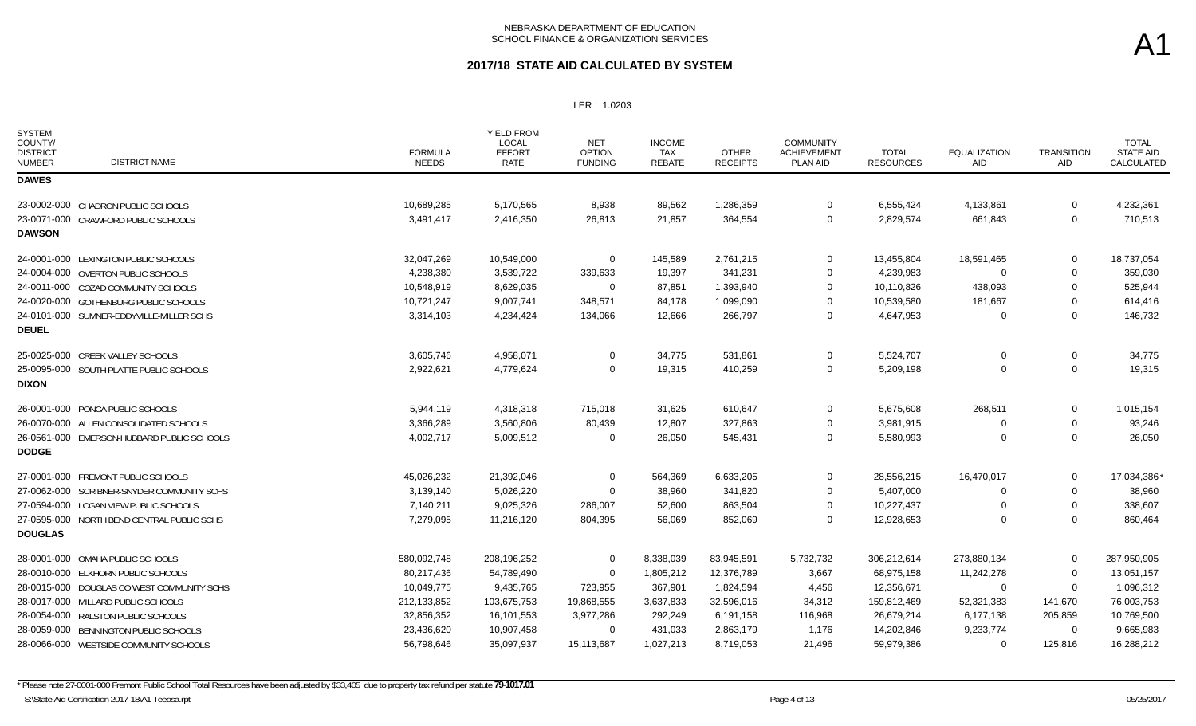### **2017/18 STATE AID CALCULATED BY SYSTEM**

LER : 1.0203

| <b>SYSTEM</b><br>COUNTY/<br><b>DISTRICT</b><br><b>DISTRICT NAME</b><br><b>NUMBER</b> | <b>FORMULA</b><br><b>NEEDS</b> | YIELD FROM<br><b>LOCAL</b><br><b>EFFORT</b><br><b>RATE</b> | <b>NET</b><br><b>OPTION</b><br><b>FUNDING</b> | <b>INCOME</b><br>TAX<br>REBATE | <b>OTHER</b><br><b>RECEIPTS</b> | <b>COMMUNITY</b><br><b>ACHIEVEMENT</b><br>PLAN AID | <b>TOTAL</b><br><b>RESOURCES</b> | <b>EQUALIZATION</b><br><b>AID</b> | <b>TRANSITION</b><br><b>AID</b> | <b>TOTAL</b><br><b>STATE AID</b><br>CALCULATED |
|--------------------------------------------------------------------------------------|--------------------------------|------------------------------------------------------------|-----------------------------------------------|--------------------------------|---------------------------------|----------------------------------------------------|----------------------------------|-----------------------------------|---------------------------------|------------------------------------------------|
| <b>DAWES</b>                                                                         |                                |                                                            |                                               |                                |                                 |                                                    |                                  |                                   |                                 |                                                |
| 23-0002-000 CHADRON PUBLIC SCHOOLS                                                   | 10,689,285                     | 5,170,565                                                  | 8,938                                         | 89,562                         | 1,286,359                       | $\mathbf 0$                                        | 6,555,424                        | 4,133,861                         | 0                               | 4,232,361                                      |
| 23-0071-000 CRAWFORD PUBLIC SCHOOLS                                                  | 3,491,417                      | 2,416,350                                                  | 26,813                                        | 21,857                         | 364,554                         | $\mathbf 0$                                        | 2,829,574                        | 661,843                           | $\mathbf 0$                     | 710,513                                        |
| <b>DAWSON</b>                                                                        |                                |                                                            |                                               |                                |                                 |                                                    |                                  |                                   |                                 |                                                |
| 24-0001-000 LEXINGTON PUBLIC SCHOOLS                                                 | 32,047,269                     | 10,549,000                                                 | 0                                             | 145,589                        | 2,761,215                       | $\mathbf 0$                                        | 13,455,804                       | 18,591,465                        | 0                               | 18,737,054                                     |
| 24-0004-000 OVERTON PUBLIC SCHOOLS                                                   | 4,238,380                      | 3,539,722                                                  | 339,633                                       | 19,397                         | 341,231                         | $\overline{0}$                                     | 4,239,983                        | $\Omega$                          | 0                               | 359,030                                        |
| 24-0011-000 COZAD COMMUNITY SCHOOLS                                                  | 10,548,919                     | 8,629,035                                                  | 0                                             | 87,851                         | 1,393,940                       | $\mathbf 0$                                        | 10,110,826                       | 438,093                           | 0                               | 525,944                                        |
| 24-0020-000 GOTHENBURG PUBLIC SCHOOLS                                                | 10,721,247                     | 9,007,741                                                  | 348,571                                       | 84,178                         | 1,099,090                       | $\Omega$                                           | 10,539,580                       | 181,667                           | 0                               | 614,416                                        |
| 24-0101-000 SUMNER-EDDYVILLE-MILLER SCHS                                             | 3,314,103                      | 4,234,424                                                  | 134,066                                       | 12,666                         | 266,797                         | $\overline{0}$                                     | 4,647,953                        | 0                                 | 0                               | 146,732                                        |
| <b>DEUEL</b>                                                                         |                                |                                                            |                                               |                                |                                 |                                                    |                                  |                                   |                                 |                                                |
| 25-0025-000 CREEK VALLEY SCHOOLS                                                     | 3,605,746                      | 4,958,071                                                  | 0                                             | 34,775                         | 531,861                         | $\overline{0}$                                     | 5,524,707                        | $\Omega$                          | 0                               | 34,775                                         |
| 25-0095-000 SOUTH PLATTE PUBLIC SCHOOLS                                              | 2,922,621                      | 4,779,624                                                  | 0                                             | 19,315                         | 410,259                         | $\mathbf 0$                                        | 5,209,198                        | $\Omega$                          | 0                               | 19,315                                         |
| <b>DIXON</b>                                                                         |                                |                                                            |                                               |                                |                                 |                                                    |                                  |                                   |                                 |                                                |
| 26-0001-000 PONCA PUBLIC SCHOOLS                                                     | 5,944,119                      | 4,318,318                                                  | 715,018                                       | 31,625                         | 610,647                         | $\mathbf 0$                                        | 5,675,608                        | 268,511                           | 0                               | 1,015,154                                      |
| 26-0070-000 ALLEN CONSOLIDATED SCHOOLS                                               | 3,366,289                      | 3,560,806                                                  | 80,439                                        | 12,807                         | 327,863                         | 0                                                  | 3,981,915                        | 0                                 | 0                               | 93,246                                         |
| 26-0561-000 EMERSON-HUBBARD PUBLIC SCHOOLS                                           | 4,002,717                      | 5,009,512                                                  | 0                                             | 26,050                         | 545,431                         | $\mathbf 0$                                        | 5,580,993                        | $\Omega$                          | $\mathbf 0$                     | 26,050                                         |
| <b>DODGE</b>                                                                         |                                |                                                            |                                               |                                |                                 |                                                    |                                  |                                   |                                 |                                                |
| 27-0001-000 FREMONT PUBLIC SCHOOLS                                                   | 45,026,232                     | 21,392,046                                                 | 0                                             | 564,369                        | 6,633,205                       | $\overline{0}$                                     | 28,556,215                       | 16,470,017                        | $\mathbf 0$                     | 17,034,386*                                    |
| 27-0062-000 SCRIBNER-SNYDER COMMUNITY SCHS                                           | 3,139,140                      | 5,026,220                                                  | $\Omega$                                      | 38,960                         | 341,820                         | $\overline{0}$                                     | 5,407,000                        | $\Omega$                          | 0                               | 38,960                                         |
| 27-0594-000 LOGAN VIEW PUBLIC SCHOOLS                                                | 7,140,211                      | 9,025,326                                                  | 286,007                                       | 52,600                         | 863,504                         | $\overline{0}$                                     | 10,227,437                       | $\Omega$                          | 0                               | 338,607                                        |
| 27-0595-000 NORTH BEND CENTRAL PUBLIC SCHS                                           | 7,279,095                      | 11,216,120                                                 | 804,395                                       | 56,069                         | 852,069                         | $\overline{0}$                                     | 12,928,653                       | $\Omega$                          | $\mathbf 0$                     | 860,464                                        |
| <b>DOUGLAS</b>                                                                       |                                |                                                            |                                               |                                |                                 |                                                    |                                  |                                   |                                 |                                                |
| 28-0001-000 OMAHA PUBLIC SCHOOLS                                                     | 580,092,748                    | 208,196,252                                                | $\mathbf 0$                                   | 8,338,039                      | 83,945,591                      | 5,732,732                                          | 306,212,614                      | 273,880,134                       | 0                               | 287,950,905                                    |
| 28-0010-000 ELKHORN PUBLIC SCHOOLS                                                   | 80,217,436                     | 54,789,490                                                 | $\mathbf 0$                                   | 1,805,212                      | 12,376,789                      | 3,667                                              | 68,975,158                       | 11,242,278                        | $\mathbf{0}$                    | 13,051,157                                     |
| 28-0015-000 DOUGLAS CO WEST COMMUNITY SCHS                                           | 10,049,775                     | 9,435,765                                                  | 723,955                                       | 367,901                        | 1,824,594                       | 4,456                                              | 12,356,671                       | $\Omega$                          | $\mathbf 0$                     | 1,096,312                                      |
| 28-0017-000 MILLARD PUBLIC SCHOOLS                                                   | 212,133,852                    | 103,675,753                                                | 19,868,555                                    | 3,637,833                      | 32,596,016                      | 34,312                                             | 159,812,469                      | 52,321,383                        | 141,670                         | 76,003,753                                     |
| 28-0054-000 RALSTON PUBLIC SCHOOLS                                                   | 32,856,352                     | 16,101,553                                                 | 3,977,286                                     | 292,249                        | 6,191,158                       | 116,968                                            | 26,679,214                       | 6,177,138                         | 205,859                         | 10,769,500                                     |
| 28-0059-000 BENNINGTON PUBLIC SCHOOLS                                                | 23,436,620                     | 10,907,458                                                 | $\Omega$                                      | 431,033                        | 2,863,179                       | 1,176                                              | 14,202,846                       | 9,233,774                         | 0                               | 9,665,983                                      |
| 28-0066-000 WESTSIDE COMMUNITY SCHOOLS                                               | 56,798,646                     | 35,097,937                                                 | 15,113,687                                    | 1,027,213                      | 8,719,053                       | 21,496                                             | 59,979,386                       | $\Omega$                          | 125,816                         | 16,288,212                                     |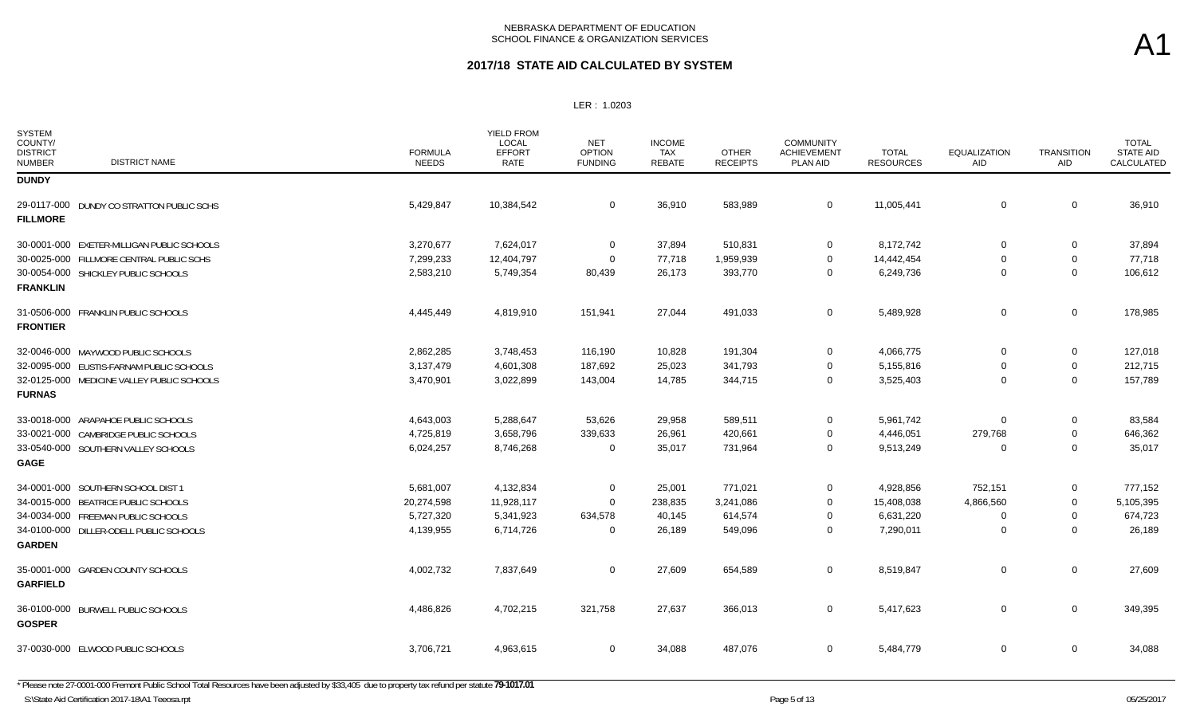### **2017/18 STATE AID CALCULATED BY SYSTEM**

LER : 1.0203

| <b>SYSTEM</b><br>COUNTY/<br><b>DISTRICT</b><br><b>NUMBER</b> | <b>DISTRICT NAME</b>                       | <b>FORMULA</b><br><b>NEEDS</b> | <b>YIELD FROM</b><br><b>LOCAL</b><br><b>EFFORT</b><br>RATE | <b>NET</b><br><b>OPTION</b><br><b>FUNDING</b> | <b>INCOME</b><br><b>TAX</b><br>REBATE | <b>OTHER</b><br><b>RECEIPTS</b> | <b>COMMUNITY</b><br><b>ACHIEVEMENT</b><br>PLAN AID | <b>TOTAL</b><br><b>RESOURCES</b> | <b>EQUALIZATION</b><br>AID | <b>TRANSITION</b><br><b>AID</b> | <b>TOTAL</b><br>STATE AID<br>CALCULATED |
|--------------------------------------------------------------|--------------------------------------------|--------------------------------|------------------------------------------------------------|-----------------------------------------------|---------------------------------------|---------------------------------|----------------------------------------------------|----------------------------------|----------------------------|---------------------------------|-----------------------------------------|
| <b>DUNDY</b>                                                 |                                            |                                |                                                            |                                               |                                       |                                 |                                                    |                                  |                            |                                 |                                         |
| <b>FILLMORE</b>                                              | 29-0117-000 DUNDY CO STRATTON PUBLIC SCHS  | 5,429,847                      | 10,384,542                                                 | $\mathbf 0$                                   | 36,910                                | 583,989                         | $\mathbf 0$                                        | 11,005,441                       | $\mathbf 0$                | 0                               | 36,910                                  |
|                                                              | 30-0001-000 EXETER-MILLIGAN PUBLIC SCHOOLS | 3,270,677                      | 7,624,017                                                  | 0                                             | 37,894                                | 510,831                         | $\mathbf 0$                                        | 8,172,742                        | $\mathbf 0$                | 0                               | 37,894                                  |
|                                                              | 30-0025-000 FILLMORE CENTRAL PUBLIC SCHS   | 7,299,233                      | 12,404,797                                                 | $\mathbf 0$                                   | 77,718                                | 1,959,939                       | $\mathbf 0$                                        | 14,442,454                       | $\Omega$                   | $\mathbf 0$                     | 77,718                                  |
| <b>FRANKLIN</b>                                              | 30-0054-000 SHICKLEY PUBLIC SCHOOLS        | 2,583,210                      | 5,749,354                                                  | 80,439                                        | 26,173                                | 393,770                         | $\mathbf 0$                                        | 6,249,736                        | $\mathbf 0$                | $\mathbf 0$                     | 106,612                                 |
| <b>FRONTIER</b>                                              | 31-0506-000 FRANKLIN PUBLIC SCHOOLS        | 4,445,449                      | 4,819,910                                                  | 151,941                                       | 27,044                                | 491,033                         | $\mathbf 0$                                        | 5,489,928                        | $\mathbf 0$                | $\mathbf 0$                     | 178,985                                 |
|                                                              | 32-0046-000 MAYWOOD PUBLIC SCHOOLS         | 2,862,285                      | 3,748,453                                                  | 116,190                                       | 10,828                                | 191,304                         | $\overline{0}$                                     | 4,066,775                        | $\mathbf 0$                | $\mathbf 0$                     | 127,018                                 |
|                                                              | 32-0095-000 EUSTIS-FARNAM PUBLIC SCHOOLS   | 3,137,479                      | 4,601,308                                                  | 187,692                                       | 25,023                                | 341,793                         | $\Omega$                                           | 5,155,816                        | $\Omega$                   | 0                               | 212,715                                 |
| <b>FURNAS</b>                                                | 32-0125-000 MEDICINE VALLEY PUBLIC SCHOOLS | 3,470,901                      | 3,022,899                                                  | 143,004                                       | 14,785                                | 344,715                         | $\mathbf 0$                                        | 3,525,403                        | 0                          | $\mathbf{0}$                    | 157,789                                 |
|                                                              | 33-0018-000 ARAPAHOE PUBLIC SCHOOLS        | 4,643,003                      | 5,288,647                                                  | 53,626                                        | 29,958                                | 589,511                         | $\mathbf{0}$                                       | 5,961,742                        | $\Omega$                   | $\mathbf{0}$                    | 83,584                                  |
|                                                              | 33-0021-000 CAMBRIDGE PUBLIC SCHOOLS       | 4,725,819                      | 3,658,796                                                  | 339,633                                       | 26,961                                | 420,661                         | $\Omega$                                           | 4,446,051                        | 279,768                    | 0                               | 646,362                                 |
| <b>GAGE</b>                                                  | 33-0540-000 SOUTHERN VALLEY SCHOOLS        | 6,024,257                      | 8,746,268                                                  | $\mathbf 0$                                   | 35,017                                | 731,964                         | $\mathbf 0$                                        | 9,513,249                        | $\Omega$                   | $\mathbf 0$                     | 35,017                                  |
|                                                              | 34-0001-000 SOUTHERN SCHOOL DIST 1         | 5,681,007                      | 4,132,834                                                  | $\mathbf 0$                                   | 25,001                                | 771,021                         | $\mathbf{0}$                                       | 4,928,856                        | 752,151                    | 0                               | 777,152                                 |
|                                                              | 34-0015-000 BEATRICE PUBLIC SCHOOLS        | 20,274,598                     | 11,928,117                                                 | $\mathbf 0$                                   | 238,835                               | 3,241,086                       | $\mathbf 0$                                        | 15,408,038                       | 4,866,560                  | 0                               | 5,105,395                               |
|                                                              | 34-0034-000 FREEMAN PUBLIC SCHOOLS         | 5,727,320                      | 5,341,923                                                  | 634,578                                       | 40,145                                | 614,574                         | $\mathbf 0$                                        | 6,631,220                        | $\Omega$                   | 0                               | 674,723                                 |
| <b>GARDEN</b>                                                | 34-0100-000 DILLER-ODELL PUBLIC SCHOOLS    | 4,139,955                      | 6,714,726                                                  | $\mathbf 0$                                   | 26,189                                | 549,096                         | $\mathbf 0$                                        | 7,290,011                        | $\mathbf 0$                | $\mathbf 0$                     | 26,189                                  |
| <b>GARFIELD</b>                                              | 35-0001-000 GARDEN COUNTY SCHOOLS          | 4,002,732                      | 7,837,649                                                  | $\mathbf 0$                                   | 27,609                                | 654,589                         | $\mathbf 0$                                        | 8,519,847                        | $\mathbf 0$                | $\mathbf 0$                     | 27,609                                  |
| <b>GOSPER</b>                                                | 36-0100-000 BURWELL PUBLIC SCHOOLS         | 4,486,826                      | 4,702,215                                                  | 321,758                                       | 27,637                                | 366,013                         | $\mathbf 0$                                        | 5,417,623                        | $\mathbf 0$                | $\mathbf 0$                     | 349,395                                 |
|                                                              | 37-0030-000 ELWOOD PUBLIC SCHOOLS          | 3,706,721                      | 4,963,615                                                  | $\mathbf 0$                                   | 34,088                                | 487,076                         | $\mathbf 0$                                        | 5,484,779                        | $\mathbf 0$                | $\mathbf 0$                     | 34,088                                  |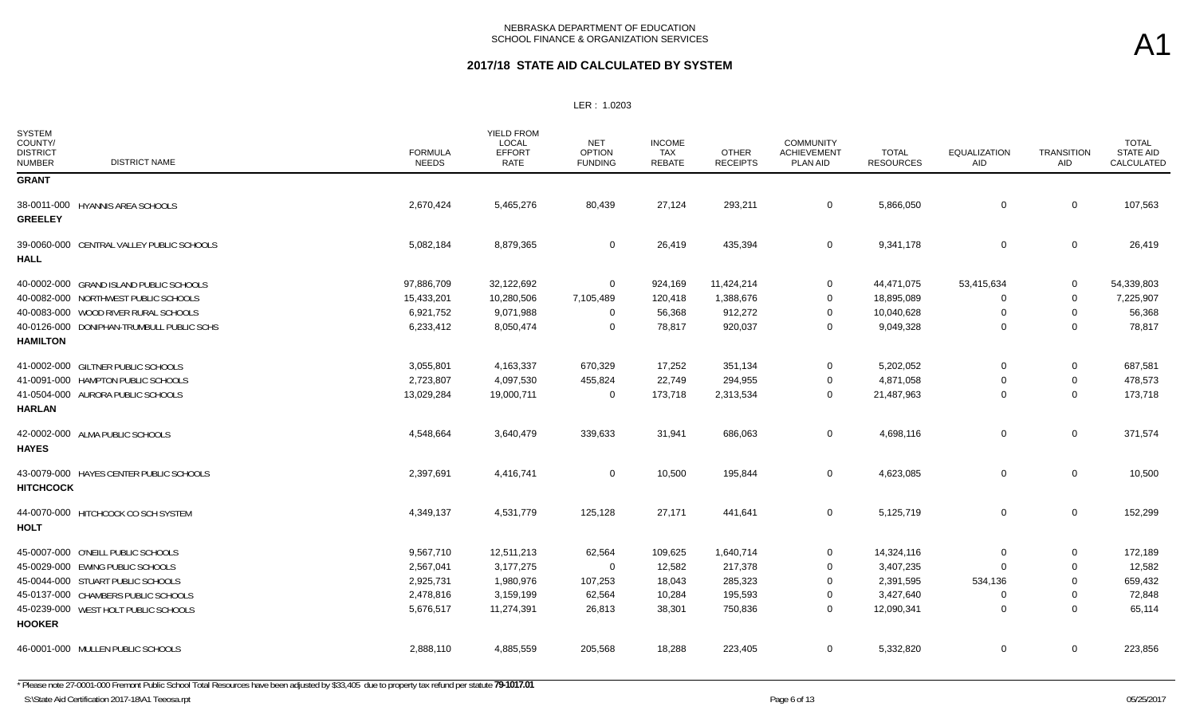| <b>SYSTEM</b><br>COUNTY/<br><b>DISTRICT</b><br><b>NUMBER</b> | <b>DISTRICT NAME</b>                      | <b>FORMULA</b><br><b>NEEDS</b> | <b>YIELD FROM</b><br>LOCAL<br><b>EFFORT</b><br>RATE | <b>NET</b><br><b>OPTION</b><br><b>FUNDING</b> | <b>INCOME</b><br>TAX<br><b>REBATE</b> | <b>OTHER</b><br><b>RECEIPTS</b> | <b>COMMUNITY</b><br><b>ACHIEVEMENT</b><br>PLAN AID | <b>TOTAL</b><br><b>RESOURCES</b> | <b>EQUALIZATION</b><br>AID | <b>TRANSITION</b><br>AID | <b>TOTAL</b><br><b>STATE AID</b><br>CALCULATED |
|--------------------------------------------------------------|-------------------------------------------|--------------------------------|-----------------------------------------------------|-----------------------------------------------|---------------------------------------|---------------------------------|----------------------------------------------------|----------------------------------|----------------------------|--------------------------|------------------------------------------------|
| <b>GRANT</b>                                                 |                                           |                                |                                                     |                                               |                                       |                                 |                                                    |                                  |                            |                          |                                                |
| <b>GREELEY</b>                                               | 38-0011-000 HYANNIS AREA SCHOOLS          | 2,670,424                      | 5,465,276                                           | 80,439                                        | 27,124                                | 293,211                         | $\overline{0}$                                     | 5,866,050                        | $\mathbf 0$                | $\mathbf 0$              | 107,563                                        |
|                                                              |                                           |                                |                                                     |                                               |                                       |                                 |                                                    |                                  |                            |                          |                                                |
| <b>HALL</b>                                                  | 39-0060-000 CENTRAL VALLEY PUBLIC SCHOOLS | 5,082,184                      | 8,879,365                                           | 0                                             | 26,419                                | 435,394                         | $\overline{0}$                                     | 9,341,178                        | 0                          | $\mathbf 0$              | 26,419                                         |
|                                                              | 40-0002-000 GRAND ISLAND PUBLIC SCHOOLS   | 97,886,709                     | 32,122,692                                          | $\mathbf 0$                                   | 924,169                               | 11,424,214                      | $\mathbf 0$                                        | 44,471,075                       | 53,415,634                 | $\mathbf 0$              | 54,339,803                                     |
|                                                              | 40-0082-000 NORTHWEST PUBLIC SCHOOLS      | 15,433,201                     | 10,280,506                                          | 7,105,489                                     | 120,418                               | 1,388,676                       | $\mathbf 0$                                        | 18,895,089                       | $\Omega$                   | $\mathbf 0$              | 7,225,907                                      |
|                                                              | 40-0083-000 WOOD RIVER RURAL SCHOOLS      | 6,921,752                      | 9,071,988                                           | $\Omega$                                      | 56,368                                | 912,272                         | $\overline{0}$                                     | 10,040,628                       | 0                          | $\mathbf 0$              | 56,368                                         |
|                                                              | 40-0126-000 DONIPHAN-TRUMBULL PUBLIC SCHS | 6,233,412                      | 8,050,474                                           | $\mathbf 0$                                   | 78,817                                | 920,037                         | $\Omega$                                           | 9,049,328                        | $\Omega$                   | $\mathbf 0$              | 78,817                                         |
| <b>HAMILTON</b>                                              |                                           |                                |                                                     |                                               |                                       |                                 |                                                    |                                  |                            |                          |                                                |
|                                                              | 41-0002-000 GILTNER PUBLIC SCHOOLS        | 3,055,801                      | 4,163,337                                           | 670,329                                       | 17,252                                | 351,134                         | $\mathbf 0$                                        | 5,202,052                        | 0                          | 0                        | 687,581                                        |
|                                                              | 41-0091-000 HAMPTON PUBLIC SCHOOLS        | 2,723,807                      | 4,097,530                                           | 455,824                                       | 22,749                                | 294,955                         | $\mathbf 0$                                        | 4,871,058                        | 0                          | 0                        | 478,573                                        |
|                                                              | 41-0504-000 AURORA PUBLIC SCHOOLS         | 13,029,284                     | 19,000,711                                          | $\Omega$                                      | 173,718                               | 2,313,534                       | $\mathbf 0$                                        | 21,487,963                       | $\mathbf 0$                | $\mathbf 0$              | 173,718                                        |
| <b>HARLAN</b>                                                |                                           |                                |                                                     |                                               |                                       |                                 |                                                    |                                  |                            |                          |                                                |
| <b>HAYES</b>                                                 | 42-0002-000 ALMA PUBLIC SCHOOLS           | 4,548,664                      | 3,640,479                                           | 339,633                                       | 31,941                                | 686,063                         | $\overline{0}$                                     | 4,698,116                        | 0                          | $\mathbf 0$              | 371,574                                        |
| <b>HITCHCOCK</b>                                             | 43-0079-000 HAYES CENTER PUBLIC SCHOOLS   | 2,397,691                      | 4,416,741                                           | $\mathbf 0$                                   | 10,500                                | 195,844                         | $\overline{0}$                                     | 4,623,085                        | 0                          | $\mathbf 0$              | 10,500                                         |
| <b>HOLT</b>                                                  | 44-0070-000 HITCHCOCK CO SCH SYSTEM       | 4,349,137                      | 4,531,779                                           | 125,128                                       | 27,171                                | 441,641                         | $\mathbf 0$                                        | 5,125,719                        | 0                          | $\mathbf 0$              | 152,299                                        |
|                                                              | 45-0007-000 O'NEILL PUBLIC SCHOOLS        | 9,567,710                      | 12,511,213                                          | 62,564                                        | 109,625                               | 1,640,714                       | $\mathbf 0$                                        | 14,324,116                       | $\mathbf 0$                | $\mathbf 0$              | 172,189                                        |
|                                                              | 45-0029-000 EWING PUBLIC SCHOOLS          | 2,567,041                      | 3,177,275                                           | $\overline{0}$                                | 12,582                                | 217,378                         | $\mathbf 0$                                        | 3,407,235                        | $\Omega$                   | $\mathbf 0$              | 12,582                                         |
|                                                              | 45-0044-000 STUART PUBLIC SCHOOLS         | 2,925,731                      | 1,980,976                                           | 107,253                                       | 18,043                                | 285,323                         | $\mathbf 0$                                        | 2,391,595                        | 534,136                    | $\mathbf 0$              | 659,432                                        |
|                                                              | 45-0137-000 CHAMBERS PUBLIC SCHOOLS       | 2,478,816                      | 3,159,199                                           | 62,564                                        | 10,284                                | 195,593                         | 0                                                  | 3,427,640                        | 0                          | $\mathbf 0$              | 72,848                                         |
| <b>HOOKER</b>                                                | 45-0239-000 WEST HOLT PUBLIC SCHOOLS      | 5,676,517                      | 11,274,391                                          | 26,813                                        | 38,301                                | 750,836                         | $\mathbf 0$                                        | 12,090,341                       | $\mathbf 0$                | $\mathbf 0$              | 65,114                                         |
|                                                              | 46-0001-000 MULLEN PUBLIC SCHOOLS         | 2,888,110                      | 4,885,559                                           | 205,568                                       | 18,288                                | 223,405                         | $\mathbf 0$                                        | 5,332,820                        | 0                          | $\mathbf 0$              | 223,856                                        |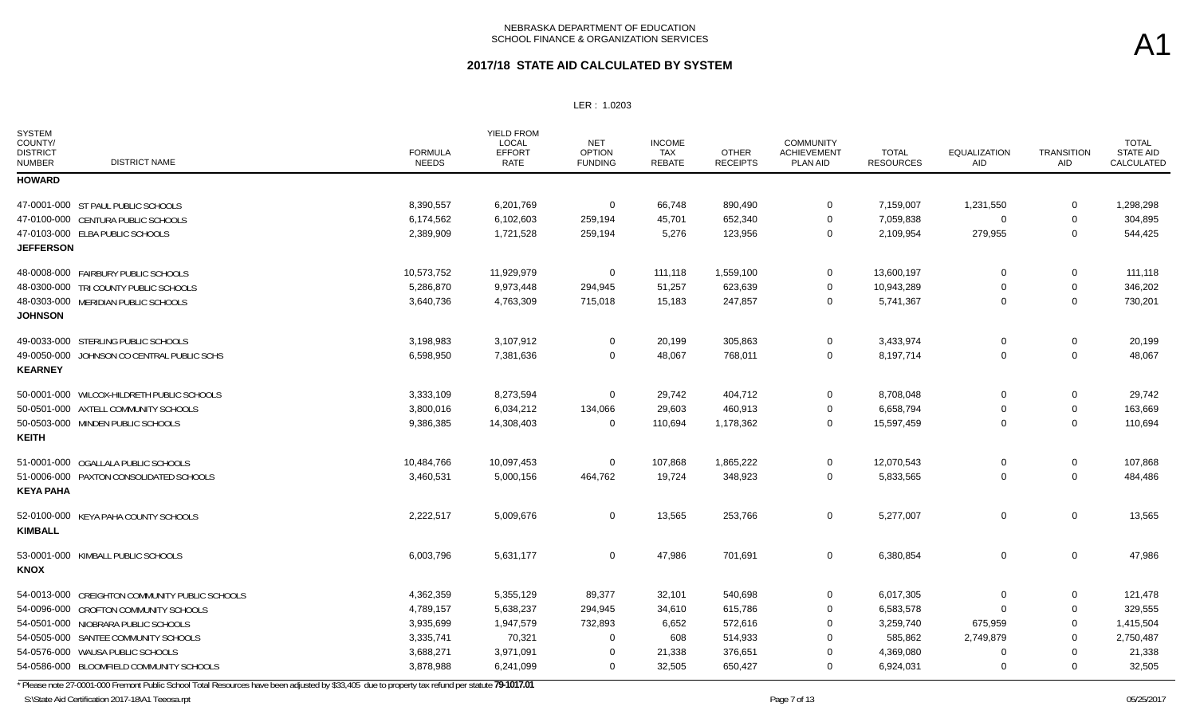#### **2017/18 STATE AID CALCULATED BY SYSTEM**

LER : 1.0203

| <b>SYSTEM</b><br>COUNTY/<br><b>DISTRICT</b><br><b>NUMBER</b> | <b>DISTRICT NAME</b>                           | <b>FORMULA</b><br><b>NEEDS</b> | <b>YIELD FROM</b><br>LOCAL<br><b>EFFORT</b><br><b>RATE</b> | <b>NET</b><br><b>OPTION</b><br><b>FUNDING</b> | <b>INCOME</b><br><b>TAX</b><br>REBATE | <b>OTHER</b><br><b>RECEIPTS</b> | <b>COMMUNITY</b><br><b>ACHIEVEMENT</b><br><b>PLAN AID</b> | <b>TOTAL</b><br><b>RESOURCES</b> | <b>EQUALIZATION</b><br>AID | <b>TRANSITION</b><br><b>AID</b> | <b>TOTAL</b><br>STATE AID<br>CALCULATED |
|--------------------------------------------------------------|------------------------------------------------|--------------------------------|------------------------------------------------------------|-----------------------------------------------|---------------------------------------|---------------------------------|-----------------------------------------------------------|----------------------------------|----------------------------|---------------------------------|-----------------------------------------|
| <b>HOWARD</b>                                                |                                                |                                |                                                            |                                               |                                       |                                 |                                                           |                                  |                            |                                 |                                         |
|                                                              | 47-0001-000 ST PAUL PUBLIC SCHOOLS             | 8,390,557                      | 6,201,769                                                  | 0                                             | 66,748                                | 890,490                         | $\mathbf 0$                                               | 7,159,007                        | 1,231,550                  | 0                               | 1,298,298                               |
|                                                              | 47-0100-000 CENTURA PUBLIC SCHOOLS             | 6,174,562                      | 6,102,603                                                  | 259,194                                       | 45,701                                | 652,340                         | $\Omega$                                                  | 7,059,838                        | $\Omega$                   | 0                               | 304,895                                 |
|                                                              | 47-0103-000 ELBA PUBLIC SCHOOLS                | 2,389,909                      | 1,721,528                                                  | 259,194                                       | 5,276                                 | 123,956                         | $\Omega$                                                  | 2,109,954                        | 279,955                    | $\mathbf 0$                     | 544,425                                 |
| <b>JEFFERSON</b>                                             |                                                |                                |                                                            |                                               |                                       |                                 |                                                           |                                  |                            |                                 |                                         |
|                                                              | 48-0008-000 FAIRBURY PUBLIC SCHOOLS            | 10,573,752                     | 11,929,979                                                 | 0                                             | 111,118                               | 1,559,100                       | $\mathbf 0$                                               | 13,600,197                       | 0                          | 0                               | 111,118                                 |
|                                                              | 48-0300-000 TRI COUNTY PUBLIC SCHOOLS          | 5,286,870                      | 9,973,448                                                  | 294,945                                       | 51,257                                | 623,639                         | $\Omega$                                                  | 10,943,289                       | $\Omega$                   | 0                               | 346,202                                 |
|                                                              | 48-0303-000 MERIDIAN PUBLIC SCHOOLS            | 3,640,736                      | 4,763,309                                                  | 715,018                                       | 15,183                                | 247,857                         | $\mathbf 0$                                               | 5,741,367                        | $\mathbf 0$                | 0                               | 730,201                                 |
| <b>JOHNSON</b>                                               |                                                |                                |                                                            |                                               |                                       |                                 |                                                           |                                  |                            |                                 |                                         |
|                                                              | 49-0033-000 STERLING PUBLIC SCHOOLS            | 3,198,983                      | 3,107,912                                                  | $\mathbf 0$                                   | 20,199                                | 305,863                         | $\mathbf 0$                                               | 3,433,974                        | $\mathbf 0$                | 0                               | 20,199                                  |
|                                                              | 49-0050-000 JOHNSON CO CENTRAL PUBLIC SCHS     | 6,598,950                      | 7,381,636                                                  | $\mathbf 0$                                   | 48,067                                | 768,011                         | $\mathbf 0$                                               | 8,197,714                        | $\mathbf 0$                | 0                               | 48,067                                  |
| <b>KEARNEY</b>                                               |                                                |                                |                                                            |                                               |                                       |                                 |                                                           |                                  |                            |                                 |                                         |
|                                                              | 50-0001-000 WILCOX-HILDRETH PUBLIC SCHOOLS     | 3,333,109                      | 8,273,594                                                  | $\mathbf 0$                                   | 29,742                                | 404,712                         | $\Omega$                                                  | 8,708,048                        | $\Omega$                   | 0                               | 29,742                                  |
|                                                              | 50-0501-000 AXTELL COMMUNITY SCHOOLS           | 3,800,016                      | 6,034,212                                                  | 134,066                                       | 29,603                                | 460,913                         | $\mathbf 0$                                               | 6,658,794                        | $\Omega$                   | 0                               | 163,669                                 |
|                                                              | 50-0503-000 MINDEN PUBLIC SCHOOLS              | 9,386,385                      | 14,308,403                                                 | $\mathbf 0$                                   | 110,694                               | 1,178,362                       | $\overline{0}$                                            | 15,597,459                       | $\mathbf 0$                | $\mathbf 0$                     | 110,694                                 |
| <b>KEITH</b>                                                 |                                                |                                |                                                            |                                               |                                       |                                 |                                                           |                                  |                            |                                 |                                         |
|                                                              | 51-0001-000 OGALLALA PUBLIC SCHOOLS            | 10,484,766                     | 10,097,453                                                 | $\mathbf 0$                                   | 107,868                               | 1,865,222                       | 0                                                         | 12,070,543                       | 0                          | 0                               | 107,868                                 |
|                                                              | 51-0006-000 PAXTON CONSOLIDATED SCHOOLS        | 3,460,531                      | 5,000,156                                                  | 464,762                                       | 19,724                                | 348,923                         | 0                                                         | 5,833,565                        | $\mathbf 0$                | $\mathbf 0$                     | 484,486                                 |
| <b>KEYA PAHA</b>                                             |                                                |                                |                                                            |                                               |                                       |                                 |                                                           |                                  |                            |                                 |                                         |
|                                                              | 52-0100-000 KEYA PAHA COUNTY SCHOOLS           | 2,222,517                      | 5,009,676                                                  | $\mathbf 0$                                   | 13,565                                | 253,766                         | $\mathbf 0$                                               | 5,277,007                        | $\mathbf 0$                | $\mathbf 0$                     | 13,565                                  |
| <b>KIMBALL</b>                                               |                                                |                                |                                                            |                                               |                                       |                                 |                                                           |                                  |                            |                                 |                                         |
|                                                              | 53-0001-000 KIMBALL PUBLIC SCHOOLS             | 6,003,796                      | 5,631,177                                                  | $\mathbf 0$                                   | 47,986                                | 701,691                         | 0                                                         | 6,380,854                        | $\mathbf 0$                | $\mathbf 0$                     | 47,986                                  |
| <b>KNOX</b>                                                  |                                                |                                |                                                            |                                               |                                       |                                 |                                                           |                                  |                            |                                 |                                         |
|                                                              | 54-0013-000 CREIGHTON COMMUNITY PUBLIC SCHOOLS | 4,362,359                      | 5,355,129                                                  | 89,377                                        | 32,101                                | 540,698                         | 0                                                         | 6,017,305                        | $\Omega$                   | 0                               | 121,478                                 |
|                                                              | 54-0096-000 CROFTON COMMUNITY SCHOOLS          | 4,789,157                      | 5,638,237                                                  | 294,945                                       | 34,610                                | 615,786                         | $\Omega$                                                  | 6,583,578                        | $\Omega$                   | 0                               | 329,555                                 |
|                                                              | 54-0501-000 NIOBRARA PUBLIC SCHOOLS            | 3,935,699                      | 1,947,579                                                  | 732,893                                       | 6,652                                 | 572,616                         | $\Omega$                                                  | 3,259,740                        | 675,959                    | 0                               | 1,415,504                               |
|                                                              | 54-0505-000 SANTEE COMMUNITY SCHOOLS           | 3,335,741                      | 70,321                                                     | $\Omega$                                      | 608                                   | 514,933                         |                                                           | 585,862                          | 2,749,879                  | $\Omega$                        | 2,750,487                               |
|                                                              | 54-0576-000 WAUSA PUBLIC SCHOOLS               | 3,688,271                      | 3,971,091                                                  | $\Omega$                                      | 21,338                                | 376,651                         | $\Omega$                                                  | 4,369,080                        | $\mathbf 0$                | 0                               | 21,338                                  |
|                                                              | 54-0586-000 BLOOMFIELD COMMUNITY SCHOOLS       | 3,878,988                      | 6,241,099                                                  | $\mathbf 0$                                   | 32,505                                | 650,427                         | $\Omega$                                                  | 6,924,031                        | 0                          | $\Omega$                        | 32,505                                  |

\* Please note 27-0001-000 Fremont Public School Total Resources have been adjusted by \$33,405 due to property tax refund per statute **79-1017.01**

S:\State Aid Certification 2017-18\A1 Teeosa.rpt 65/25/2017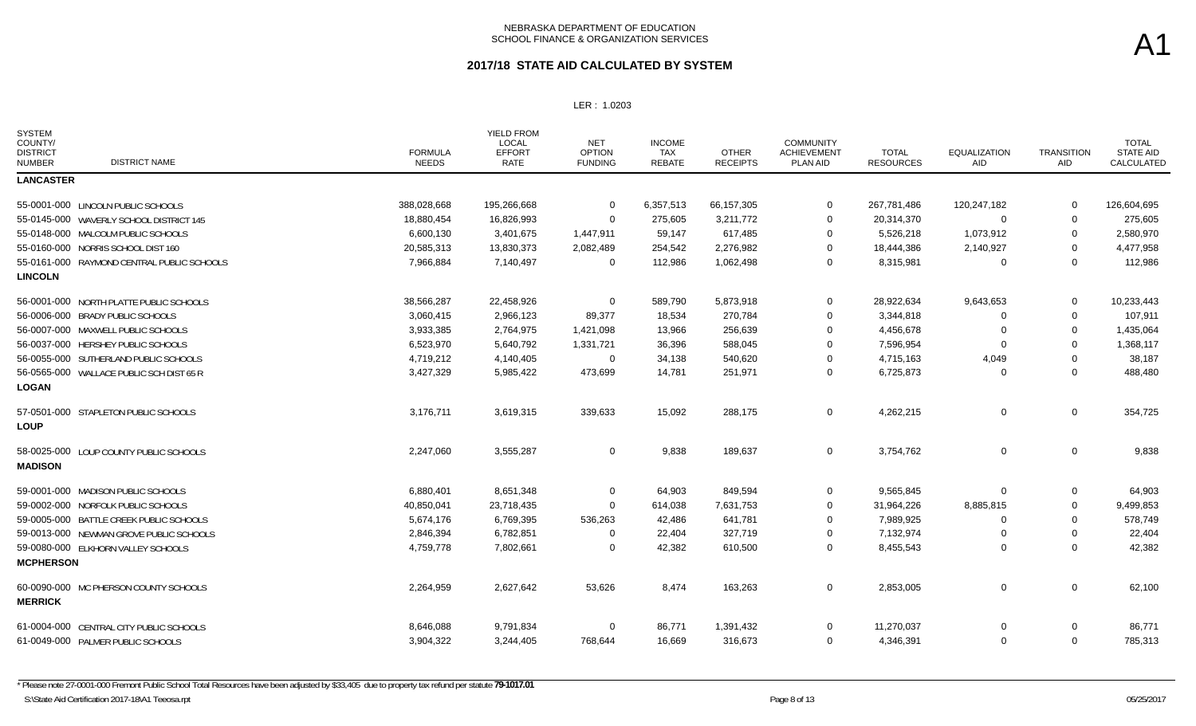| <b>SYSTEM</b><br>COUNTY/<br><b>DISTRICT</b><br><b>DISTRICT NAME</b><br><b>NUMBER</b> | <b>FORMULA</b><br><b>NEEDS</b> | <b>YIELD FROM</b><br><b>LOCAL</b><br><b>EFFORT</b><br><b>RATE</b> | <b>NET</b><br><b>OPTION</b><br><b>FUNDING</b> | <b>INCOME</b><br><b>TAX</b><br><b>REBATE</b> | <b>OTHER</b><br><b>RECEIPTS</b> | <b>COMMUNITY</b><br><b>ACHIEVEMENT</b><br>PLAN AID | <b>TOTAL</b><br><b>RESOURCES</b> | <b>EQUALIZATION</b><br>AID | <b>TRANSITION</b><br>AID | <b>TOTAL</b><br><b>STATE AID</b><br>CALCULATED |
|--------------------------------------------------------------------------------------|--------------------------------|-------------------------------------------------------------------|-----------------------------------------------|----------------------------------------------|---------------------------------|----------------------------------------------------|----------------------------------|----------------------------|--------------------------|------------------------------------------------|
| <b>LANCASTER</b>                                                                     |                                |                                                                   |                                               |                                              |                                 |                                                    |                                  |                            |                          |                                                |
| 55-0001-000 LINCOLN PUBLIC SCHOOLS                                                   | 388,028,668                    | 195,266,668                                                       | $\mathbf 0$                                   | 6,357,513                                    | 66,157,305                      | $\overline{0}$                                     | 267,781,486                      | 120,247,182                | 0                        | 126,604,695                                    |
| 55-0145-000 WAVERLY SCHOOL DISTRICT 145                                              | 18,880,454                     | 16,826,993                                                        | $\Omega$                                      | 275,605                                      | 3,211,772                       | 0                                                  | 20,314,370                       | $\Omega$                   | 0                        | 275,605                                        |
| 55-0148-000 MALCOLM PUBLIC SCHOOLS                                                   | 6,600,130                      | 3,401,675                                                         | 1,447,911                                     | 59,147                                       | 617,485                         | 0                                                  | 5,526,218                        | 1,073,912                  | 0                        | 2,580,970                                      |
| 55-0160-000 NORRIS SCHOOL DIST 160                                                   | 20,585,313                     | 13,830,373                                                        | 2,082,489                                     | 254,542                                      | 2,276,982                       | 0                                                  | 18,444,386                       | 2,140,927                  | 0                        | 4,477,958                                      |
| 55-0161-000 RAYMOND CENTRAL PUBLIC SCHOOLS                                           | 7,966,884                      | 7,140,497                                                         | $\overline{0}$                                | 112,986                                      | 1,062,498                       | $\overline{0}$                                     | 8,315,981                        | $\Omega$                   | 0                        | 112,986                                        |
| <b>LINCOLN</b>                                                                       |                                |                                                                   |                                               |                                              |                                 |                                                    |                                  |                            |                          |                                                |
| 56-0001-000 NORTH PLATTE PUBLIC SCHOOLS                                              | 38,566,287                     | 22,458,926                                                        | $\overline{0}$                                | 589,790                                      | 5,873,918                       | $\mathbf 0$                                        | 28,922,634                       | 9,643,653                  | 0                        | 10,233,443                                     |
| 56-0006-000 BRADY PUBLIC SCHOOLS                                                     | 3,060,415                      | 2,966,123                                                         | 89,377                                        | 18,534                                       | 270,784                         | 0                                                  | 3,344,818                        | 0                          | 0                        | 107,911                                        |
| 56-0007-000 MAXWELL PUBLIC SCHOOLS                                                   | 3,933,385                      | 2,764,975                                                         | 1,421,098                                     | 13,966                                       | 256,639                         | $\Omega$                                           | 4,456,678                        | 0                          | 0                        | 1,435,064                                      |
| 56-0037-000 HERSHEY PUBLIC SCHOOLS                                                   | 6,523,970                      | 5,640,792                                                         | 1,331,721                                     | 36,396                                       | 588,045                         | 0                                                  | 7,596,954                        | $\Omega$                   | $\Omega$                 | 1,368,117                                      |
| 56-0055-000 SUTHERLAND PUBLIC SCHOOLS                                                | 4,719,212                      | 4,140,405                                                         | $\mathbf 0$                                   | 34,138                                       | 540,620                         | $\overline{0}$                                     | 4,715,163                        | 4,049                      | 0                        | 38,187                                         |
| 56-0565-000 WALLACE PUBLIC SCH DIST 65 R                                             | 3,427,329                      | 5,985,422                                                         | 473,699                                       | 14,781                                       | 251,971                         | $\mathbf 0$                                        | 6,725,873                        | $\Omega$                   | $\Omega$                 | 488,480                                        |
| <b>LOGAN</b>                                                                         |                                |                                                                   |                                               |                                              |                                 |                                                    |                                  |                            |                          |                                                |
| 57-0501-000 STAPLETON PUBLIC SCHOOLS<br><b>LOUP</b>                                  | 3,176,711                      | 3,619,315                                                         | 339,633                                       | 15,092                                       | 288,175                         | $\overline{0}$                                     | 4,262,215                        | $\Omega$                   | $\mathbf 0$              | 354,725                                        |
| 58-0025-000 LOUP COUNTY PUBLIC SCHOOLS<br><b>MADISON</b>                             | 2,247,060                      | 3,555,287                                                         | $\mathbf 0$                                   | 9,838                                        | 189,637                         | $\mathbf 0$                                        | 3,754,762                        | 0                          | 0                        | 9,838                                          |
| 59-0001-000 MADISON PUBLIC SCHOOLS                                                   | 6,880,401                      | 8,651,348                                                         | $\overline{0}$                                | 64,903                                       | 849,594                         | 0                                                  | 9,565,845                        | $\Omega$                   | 0                        | 64,903                                         |
| 59-0002-000 NORFOLK PUBLIC SCHOOLS                                                   | 40,850,041                     | 23,718,435                                                        | $\Omega$                                      | 614,038                                      | 7,631,753                       | $\mathbf 0$                                        | 31,964,226                       | 8,885,815                  | $\Omega$                 | 9,499,853                                      |
| 59-0005-000 BATTLE CREEK PUBLIC SCHOOLS                                              | 5,674,176                      | 6,769,395                                                         | 536,263                                       | 42,486                                       | 641,781                         | 0                                                  | 7,989,925                        | 0                          | 0                        | 578,749                                        |
| 59-0013-000 NEWMAN GROVE PUBLIC SCHOOLS                                              | 2,846,394                      | 6,782,851                                                         | $\Omega$                                      | 22,404                                       | 327,719                         | $\Omega$                                           | 7,132,974                        | 0                          | $\Omega$                 | 22,404                                         |
| 59-0080-000 ELKHORN VALLEY SCHOOLS<br><b>MCPHERSON</b>                               | 4,759,778                      | 7,802,661                                                         | $\mathbf 0$                                   | 42,382                                       | 610,500                         | $\mathbf 0$                                        | 8,455,543                        | $\Omega$                   | $\Omega$                 | 42,382                                         |
| 60-0090-000 MC PHERSON COUNTY SCHOOLS<br><b>MERRICK</b>                              | 2,264,959                      | 2,627,642                                                         | 53,626                                        | 8,474                                        | 163,263                         | $\overline{0}$                                     | 2,853,005                        | $\mathbf 0$                | $\mathbf 0$              | 62,100                                         |
| 61-0004-000 CENTRAL CITY PUBLIC SCHOOLS                                              | 8,646,088                      | 9,791,834                                                         | $\overline{0}$                                | 86,771                                       | 1,391,432                       | $\overline{0}$                                     | 11,270,037                       | $\Omega$                   | $\mathbf 0$              | 86,771                                         |
| 61-0049-000 PALMER PUBLIC SCHOOLS                                                    | 3,904,322                      | 3,244,405                                                         | 768,644                                       | 16,669                                       | 316,673                         | $\mathbf 0$                                        | 4,346,391                        | $\Omega$                   | $\mathbf 0$              | 785,313                                        |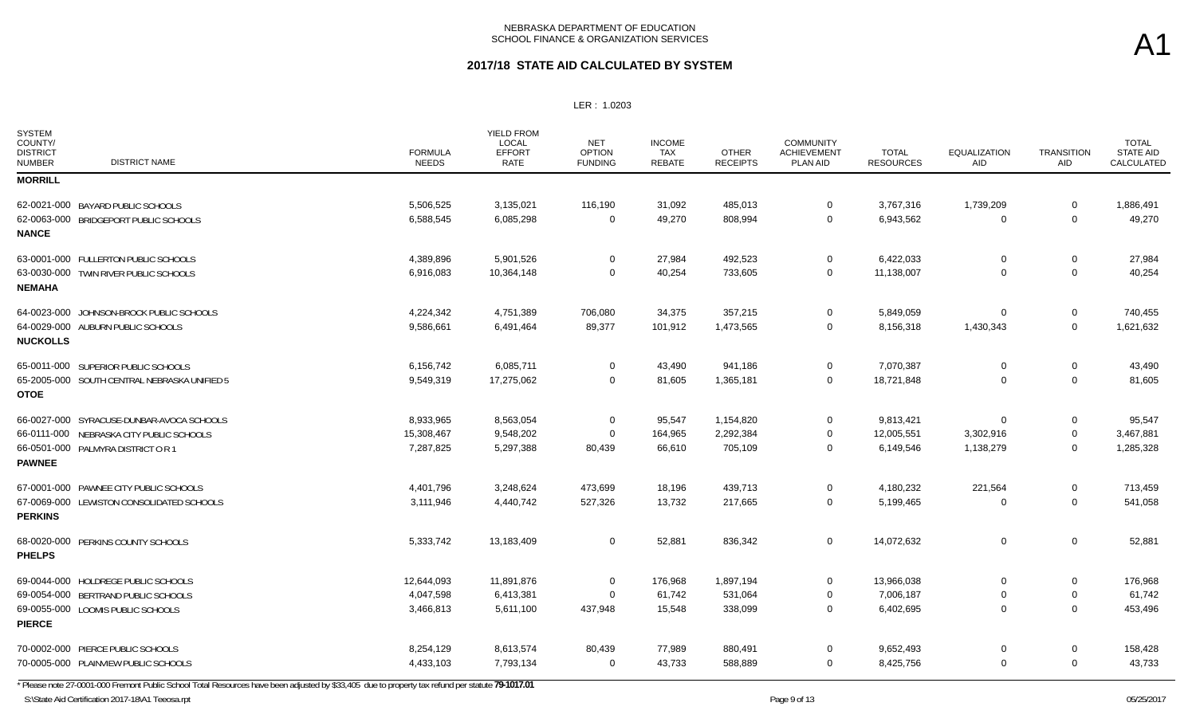### **2017/18 STATE AID CALCULATED BY SYSTEM**

#### LER : 1.0203

| <b>SYSTEM</b><br>COUNTY/<br><b>DISTRICT</b><br><b>DISTRICT NAME</b><br><b>NUMBER</b> | <b>FORMULA</b><br><b>NEEDS</b> | YIELD FROM<br>LOCAL<br><b>EFFORT</b><br><b>RATE</b> | <b>NET</b><br><b>OPTION</b><br><b>FUNDING</b> | <b>INCOME</b><br><b>TAX</b><br>REBATE | <b>OTHER</b><br><b>RECEIPTS</b> | <b>COMMUNITY</b><br><b>ACHIEVEMENT</b><br><b>PLAN AID</b> | <b>TOTAL</b><br><b>RESOURCES</b> | <b>EQUALIZATION</b><br>AID | <b>TRANSITION</b><br>AID | <b>TOTAL</b><br><b>STATE AID</b><br>CALCULATED |
|--------------------------------------------------------------------------------------|--------------------------------|-----------------------------------------------------|-----------------------------------------------|---------------------------------------|---------------------------------|-----------------------------------------------------------|----------------------------------|----------------------------|--------------------------|------------------------------------------------|
| <b>MORRILL</b>                                                                       |                                |                                                     |                                               |                                       |                                 |                                                           |                                  |                            |                          |                                                |
| 62-0021-000 BAYARD PUBLIC SCHOOLS                                                    | 5,506,525                      | 3,135,021                                           | 116,190                                       | 31,092                                | 485,013                         | $\mathbf 0$                                               | 3,767,316                        | 1,739,209                  | $\mathbf 0$              | 1,886,491                                      |
| 62-0063-000 BRIDGEPORT PUBLIC SCHOOLS                                                | 6,588,545                      | 6,085,298                                           | $\mathbf 0$                                   | 49,270                                | 808,994                         | $\mathbf 0$                                               | 6,943,562                        | $\mathbf 0$                | $\mathbf 0$              | 49,270                                         |
| <b>NANCE</b>                                                                         |                                |                                                     |                                               |                                       |                                 |                                                           |                                  |                            |                          |                                                |
| 63-0001-000 FULLERTON PUBLIC SCHOOLS                                                 | 4,389,896                      | 5,901,526                                           | $\mathbf 0$                                   | 27,984                                | 492,523                         | $\Omega$                                                  | 6,422,033                        | $\Omega$                   | 0                        | 27,984                                         |
| 63-0030-000 TWIN RIVER PUBLIC SCHOOLS<br><b>NEMAHA</b>                               | 6,916,083                      | 10,364,148                                          | $\mathbf 0$                                   | 40,254                                | 733,605                         | $\mathbf 0$                                               | 11,138,007                       | $\mathbf 0$                | 0                        | 40,254                                         |
| 64-0023-000 JOHNSON-BROCK PUBLIC SCHOOLS                                             | 4,224,342                      | 4,751,389                                           | 706,080                                       | 34,375                                | 357,215                         | $\mathbf 0$                                               | 5,849,059                        | $\Omega$                   | 0                        | 740,455                                        |
| 64-0029-000 AUBURN PUBLIC SCHOOLS<br><b>NUCKOLLS</b>                                 | 9,586,661                      | 6,491,464                                           | 89,377                                        | 101,912                               | 1,473,565                       | 0                                                         | 8,156,318                        | 1,430,343                  | 0                        | 1,621,632                                      |
| 65-0011-000 SUPERIOR PUBLIC SCHOOLS                                                  | 6,156,742                      | 6,085,711                                           | $\mathbf 0$                                   | 43,490                                | 941,186                         | $\mathbf 0$                                               | 7,070,387                        | $\mathbf 0$                | $\mathbf 0$              | 43,490                                         |
| 65-2005-000 SOUTH CENTRAL NEBRASKA UNIFIED 5<br><b>OTOE</b>                          | 9,549,319                      | 17,275,062                                          | $\mathbf 0$                                   | 81,605                                | 1,365,181                       | $\mathbf 0$                                               | 18,721,848                       | $\Omega$                   | $\mathbf 0$              | 81,605                                         |
| 66-0027-000 SYRACUSE-DUNBAR-AVOCA SCHOOLS                                            | 8,933,965                      | 8,563,054                                           | $\mathbf 0$                                   | 95,547                                | 1,154,820                       | $\mathbf 0$                                               | 9,813,421                        | $\Omega$                   | 0                        | 95,547                                         |
| 66-0111-000 NEBRASKA CITY PUBLIC SCHOOLS                                             | 15,308,467                     | 9,548,202                                           | $\mathbf 0$                                   | 164,965                               | 2,292,384                       | $\Omega$                                                  | 12,005,551                       | 3,302,916                  | 0                        | 3,467,881                                      |
| 66-0501-000 PALMYRA DISTRICT OR 1                                                    | 7,287,825                      | 5,297,388                                           | 80,439                                        | 66,610                                | 705,109                         | $\Omega$                                                  | 6,149,546                        | 1,138,279                  | 0                        | 1,285,328                                      |
| <b>PAWNEE</b>                                                                        |                                |                                                     |                                               |                                       |                                 |                                                           |                                  |                            |                          |                                                |
| 67-0001-000 PAWNEE CITY PUBLIC SCHOOLS                                               | 4,401,796                      | 3,248,624                                           | 473,699                                       | 18,196                                | 439,713                         | $\mathbf 0$                                               | 4,180,232                        | 221,564                    | 0                        | 713,459                                        |
| 67-0069-000 LEWISTON CONSOLIDATED SCHOOLS<br><b>PERKINS</b>                          | 3,111,946                      | 4,440,742                                           | 527,326                                       | 13,732                                | 217,665                         | $\mathbf 0$                                               | 5,199,465                        | $\Omega$                   | $\mathbf{0}$             | 541,058                                        |
| 68-0020-000 PERKINS COUNTY SCHOOLS<br><b>PHELPS</b>                                  | 5,333,742                      | 13,183,409                                          | $\mathbf 0$                                   | 52,881                                | 836,342                         | $\mathbf 0$                                               | 14,072,632                       | $\mathbf 0$                | $\mathbf 0$              | 52,881                                         |
| 69-0044-000 HOLDREGE PUBLIC SCHOOLS                                                  | 12,644,093                     | 11,891,876                                          | $\mathbf 0$                                   | 176,968                               | 1,897,194                       | $\Omega$                                                  | 13,966,038                       | $\mathbf 0$                | $\mathbf 0$              | 176,968                                        |
| 69-0054-000 BERTRAND PUBLIC SCHOOLS                                                  | 4,047,598                      | 6,413,381                                           | $\mathbf 0$                                   | 61,742                                | 531,064                         | $\mathbf 0$                                               | 7,006,187                        | $\Omega$                   | 0                        | 61,742                                         |
| 69-0055-000 LOOMIS PUBLIC SCHOOLS<br><b>PIERCE</b>                                   | 3,466,813                      | 5,611,100                                           | 437,948                                       | 15,548                                | 338,099                         | $\overline{0}$                                            | 6,402,695                        | 0                          | 0                        | 453,496                                        |
| 70-0002-000 PIERCE PUBLIC SCHOOLS                                                    | 8,254,129                      | 8,613,574                                           | 80,439                                        | 77,989                                | 880,491                         | $\Omega$                                                  | 9,652,493                        | $\Omega$                   | 0                        | 158,428                                        |
| 70-0005-000 PLAINVIEW PUBLIC SCHOOLS                                                 | 4,433,103                      | 7,793,134                                           | 0                                             | 43,733                                | 588,889                         | 0                                                         | 8,425,756                        | $\mathbf 0$                | $\mathbf 0$              | 43,733                                         |

\* Please note 27-0001-000 Fremont Public School Total Resources have been adjusted by \$33,405 due to property tax refund per statute **79-1017.01**

S:\State Aid Certification 2017-18\A1 Teeosa.rpt 05/25/2017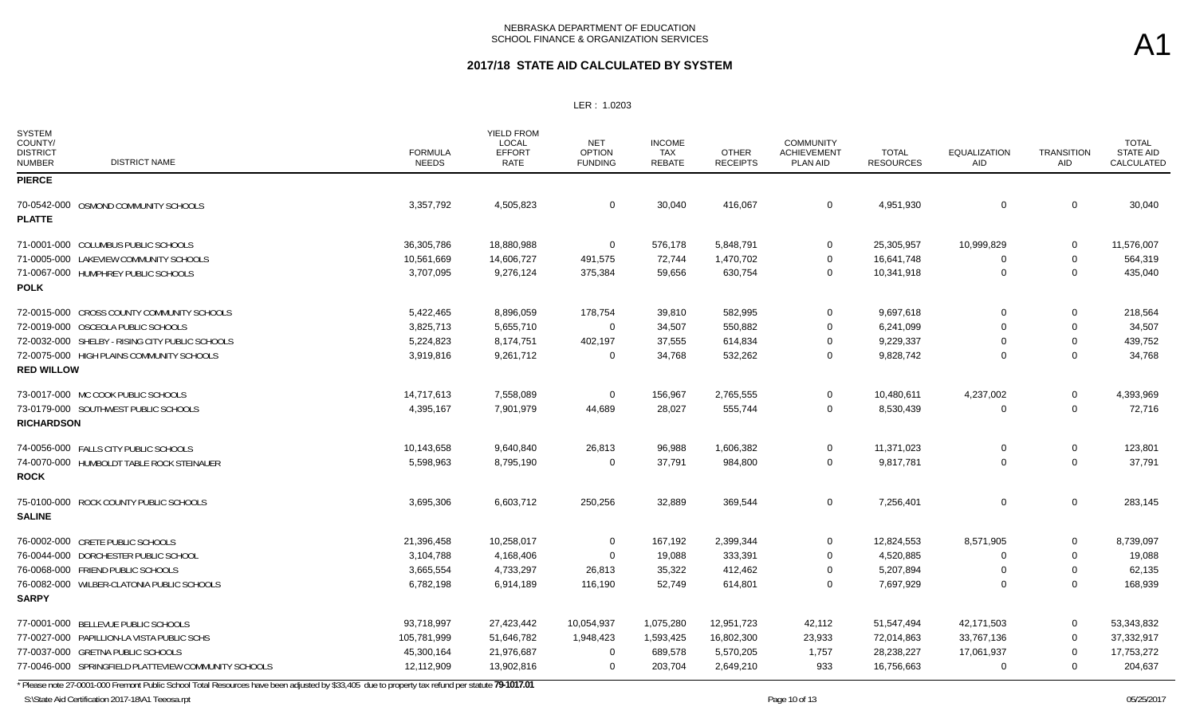### **2017/18 STATE AID CALCULATED BY SYSTEM**

LER : 1.0203

| <b>SYSTEM</b><br>COUNTY/<br><b>DISTRICT</b><br><b>NUMBER</b> | <b>DISTRICT NAME</b>                                 | <b>FORMULA</b><br><b>NEEDS</b> | YIELD FROM<br>LOCAL<br><b>EFFORT</b><br><b>RATE</b> | <b>NET</b><br><b>OPTION</b><br><b>FUNDING</b> | <b>INCOME</b><br><b>TAX</b><br><b>REBATE</b> | <b>OTHER</b><br><b>RECEIPTS</b> | <b>COMMUNITY</b><br><b>ACHIEVEMENT</b><br>PLAN AID | <b>TOTAL</b><br><b>RESOURCES</b> | <b>EQUALIZATION</b><br>AID | <b>TRANSITION</b><br>AID | <b>TOTAL</b><br><b>STATE AID</b><br>CALCULATED |
|--------------------------------------------------------------|------------------------------------------------------|--------------------------------|-----------------------------------------------------|-----------------------------------------------|----------------------------------------------|---------------------------------|----------------------------------------------------|----------------------------------|----------------------------|--------------------------|------------------------------------------------|
| <b>PIERCE</b>                                                |                                                      |                                |                                                     |                                               |                                              |                                 |                                                    |                                  |                            |                          |                                                |
|                                                              | 70-0542-000 OSMOND COMMUNITY SCHOOLS                 | 3,357,792                      | 4,505,823                                           | 0                                             | 30,040                                       | 416,067                         | $\mathbf 0$                                        | 4,951,930                        | $\mathbf 0$                | 0                        | 30,040                                         |
| <b>PLATTE</b>                                                |                                                      |                                |                                                     |                                               |                                              |                                 |                                                    |                                  |                            |                          |                                                |
|                                                              | 71-0001-000 COLUMBUS PUBLIC SCHOOLS                  | 36,305,786                     | 18,880,988                                          | $\mathbf 0$                                   | 576,178                                      | 5,848,791                       | $\Omega$                                           | 25,305,957                       | 10,999,829                 | 0                        | 11,576,007                                     |
|                                                              | 71-0005-000 LAKEVIEW COMMUNITY SCHOOLS               | 10,561,669                     | 14,606,727                                          | 491,575                                       | 72,744                                       | 1,470,702                       | $\Omega$                                           | 16,641,748                       | $\Omega$                   | 0                        | 564,319                                        |
| <b>POLK</b>                                                  | 71-0067-000 HUMPHREY PUBLIC SCHOOLS                  | 3,707,095                      | 9,276,124                                           | 375,384                                       | 59,656                                       | 630,754                         | $\Omega$                                           | 10,341,918                       | $\mathbf 0$                | $\mathbf 0$              | 435,040                                        |
|                                                              | 72-0015-000 CROSS COUNTY COMMUNITY SCHOOLS           | 5,422,465                      | 8,896,059                                           | 178,754                                       | 39,810                                       | 582,995                         | $\Omega$                                           | 9,697,618                        | $\Omega$                   | $\mathbf 0$              | 218,564                                        |
| 72-0019-000 OSCEOLA PUBLIC SCHOOLS                           |                                                      | 3,825,713                      | 5,655,710                                           | $\mathbf 0$                                   | 34,507                                       | 550,882                         | $\Omega$                                           | 6,241,099                        | $\Omega$                   | 0                        | 34,507                                         |
|                                                              | 72-0032-000 SHELBY - RISING CITY PUBLIC SCHOOLS      | 5,224,823                      | 8,174,751                                           | 402,197                                       | 37,555                                       | 614,834                         | $\Omega$                                           | 9,229,337                        |                            | 0                        | 439,752                                        |
| <b>RED WILLOW</b>                                            | 72-0075-000 HIGH PLAINS COMMUNITY SCHOOLS            | 3,919,816                      | 9,261,712                                           | $\Omega$                                      | 34,768                                       | 532,262                         | $\Omega$                                           | 9,828,742                        | $\Omega$                   | $\Omega$                 | 34,768                                         |
|                                                              |                                                      |                                |                                                     |                                               |                                              |                                 |                                                    |                                  |                            |                          |                                                |
| 73-0017-000 MC COOK PUBLIC SCHOOLS                           |                                                      | 14,717,613                     | 7,558,089                                           | 0                                             | 156,967                                      | 2,765,555                       | $\mathbf 0$                                        | 10,480,611                       | 4,237,002                  | 0                        | 4,393,969                                      |
| <b>RICHARDSON</b>                                            | 73-0179-000 SOUTHWEST PUBLIC SCHOOLS                 | 4,395,167                      | 7,901,979                                           | 44,689                                        | 28,027                                       | 555,744                         | $\mathbf 0$                                        | 8,530,439                        | $\mathbf 0$                | 0                        | 72,716                                         |
|                                                              | 74-0056-000 FALLS CITY PUBLIC SCHOOLS                | 10,143,658                     | 9,640,840                                           | 26,813                                        | 96,988                                       | 1,606,382                       | $\Omega$                                           | 11,371,023                       | 0                          | 0                        | 123,801                                        |
| <b>ROCK</b>                                                  | 74-0070-000 HUMBOLDT TABLE ROCK STEINAUER            | 5,598,963                      | 8,795,190                                           | $\Omega$                                      | 37,791                                       | 984,800                         | $\Omega$                                           | 9,817,781                        | $\mathbf 0$                | 0                        | 37,791                                         |
| <b>SALINE</b>                                                | 75-0100-000 ROCK COUNTY PUBLIC SCHOOLS               | 3,695,306                      | 6,603,712                                           | 250,256                                       | 32,889                                       | 369,544                         | $\mathbf 0$                                        | 7,256,401                        | 0                          | $\mathbf{0}$             | 283,145                                        |
| 76-0002-000 CRETE PUBLIC SCHOOLS                             |                                                      | 21,396,458                     | 10,258,017                                          | 0                                             | 167,192                                      | 2,399,344                       | $\Omega$                                           | 12,824,553                       | 8,571,905                  | 0                        | 8,739,097                                      |
|                                                              | 76-0044-000 DORCHESTER PUBLIC SCHOOL                 | 3,104,788                      | 4,168,406                                           | $\Omega$                                      | 19,088                                       | 333,391                         | $\Omega$                                           | 4,520,885                        | $\Omega$                   | 0                        | 19,088                                         |
| 76-0068-000 FRIEND PUBLIC SCHOOLS                            |                                                      | 3,665,554                      | 4,733,297                                           | 26,813                                        | 35,322                                       | 412,462                         | $\Omega$                                           | 5,207,894                        |                            | $\mathbf 0$              | 62,135                                         |
|                                                              | 76-0082-000 WILBER-CLATONIA PUBLIC SCHOOLS           | 6,782,198                      | 6,914,189                                           | 116,190                                       | 52,749                                       | 614,801                         | $\Omega$                                           | 7,697,929                        | $\Omega$                   | $\Omega$                 | 168,939                                        |
| <b>SARPY</b>                                                 |                                                      |                                |                                                     |                                               |                                              |                                 |                                                    |                                  |                            |                          |                                                |
|                                                              | 77-0001-000 BELLEVUE PUBLIC SCHOOLS                  | 93,718,997                     | 27,423,442                                          | 10,054,937                                    | 1,075,280                                    | 12,951,723                      | 42,112                                             | 51,547,494                       | 42,171,503                 | $\mathbf 0$              | 53,343,832                                     |
|                                                              | 77-0027-000 PAPILLION-LA VISTA PUBLIC SCHS           | 105,781,999                    | 51,646,782                                          | 1,948,423                                     | 1,593,425                                    | 16,802,300                      | 23,933                                             | 72,014,863                       | 33,767,136                 | $\mathbf{0}$             | 37,332,917                                     |
| 77-0037-000 GRETNA PUBLIC SCHOOLS                            |                                                      | 45,300,164                     | 21,976,687                                          | 0                                             | 689,578                                      | 5,570,205                       | 1,757                                              | 28,238,227                       | 17,061,937                 | 0                        | 17,753,272                                     |
|                                                              | 77-0046-000 SPRINGFIELD PLATTEVIEW COMMUNITY SCHOOLS | 12,112,909                     | 13,902,816                                          | $\mathbf 0$                                   | 203,704                                      | 2,649,210                       | 933                                                | 16,756,663                       | $\mathbf 0$                | $\mathbf 0$              | 204,637                                        |

\* Please note 27-0001-000 Fremont Public School Total Resources have been adjusted by \$33,405 due to property tax refund per statute **79-1017.01**

S:\State Aid Certification 2017-18\A1 Teeosa.rpt 65/25/2017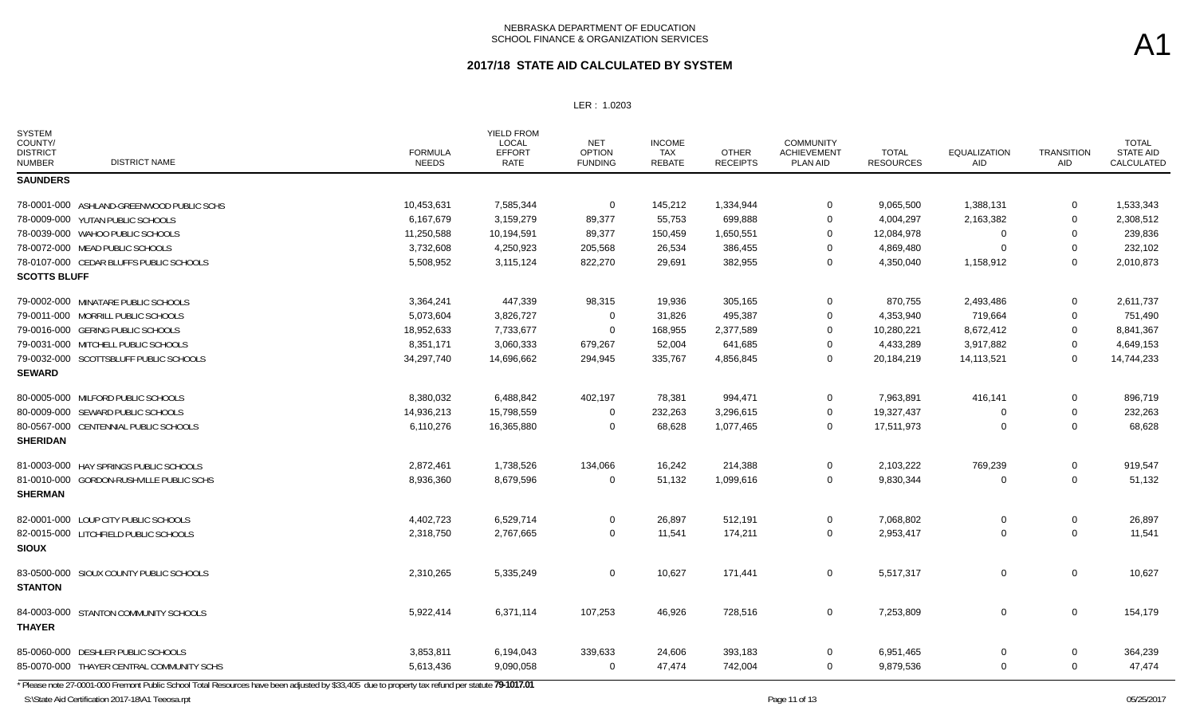LER : 1.0203

| <b>SYSTEM</b><br>COUNTY/<br><b>DISTRICT</b><br><b>DISTRICT NAME</b><br><b>NUMBER</b> | <b>FORMULA</b><br><b>NEEDS</b> | <b>YIELD FROM</b><br>LOCAL<br><b>EFFORT</b><br>RATE | <b>NET</b><br><b>OPTION</b><br><b>FUNDING</b> | <b>INCOME</b><br>TAX<br>REBATE | <b>OTHER</b><br><b>RECEIPTS</b> | <b>COMMUNITY</b><br><b>ACHIEVEMENT</b><br>PLAN AID | <b>TOTAL</b><br><b>RESOURCES</b> | <b>EQUALIZATION</b><br>AID | <b>TRANSITION</b><br><b>AID</b> | <b>TOTAL</b><br><b>STATE AID</b><br>CALCULATED |
|--------------------------------------------------------------------------------------|--------------------------------|-----------------------------------------------------|-----------------------------------------------|--------------------------------|---------------------------------|----------------------------------------------------|----------------------------------|----------------------------|---------------------------------|------------------------------------------------|
| <b>SAUNDERS</b>                                                                      |                                |                                                     |                                               |                                |                                 |                                                    |                                  |                            |                                 |                                                |
| 78-0001-000 ASHLAND-GREENWOOD PUBLIC SCHS                                            | 10,453,631                     | 7,585,344                                           | $\Omega$                                      | 145,212                        | 1,334,944                       | 0                                                  | 9,065,500                        | 1,388,131                  | 0                               | 1,533,343                                      |
| 78-0009-000 YUTAN PUBLIC SCHOOLS                                                     | 6,167,679                      | 3,159,279                                           | 89,377                                        | 55,753                         | 699,888                         | 0                                                  | 4,004,297                        | 2,163,382                  | 0                               | 2,308,512                                      |
| 78-0039-000 WAHOO PUBLIC SCHOOLS                                                     | 11,250,588                     | 10,194,591                                          | 89,377                                        | 150,459                        | 1,650,551                       | 0                                                  | 12,084,978                       |                            | 0                               | 239,836                                        |
| 78-0072-000 MEAD PUBLIC SCHOOLS                                                      | 3,732,608                      | 4,250,923                                           | 205,568                                       | 26,534                         | 386,455                         | 0                                                  | 4,869,480                        |                            | $\mathbf 0$                     | 232,102                                        |
| 78-0107-000 CEDAR BLUFFS PUBLIC SCHOOLS<br><b>SCOTTS BLUFF</b>                       | 5,508,952                      | 3,115,124                                           | 822,270                                       | 29,691                         | 382,955                         | $\mathbf 0$                                        | 4,350,040                        | 1,158,912                  | $\mathbf 0$                     | 2,010,873                                      |
| 79-0002-000 MINATARE PUBLIC SCHOOLS                                                  | 3,364,241                      | 447,339                                             | 98,315                                        | 19,936                         | 305,165                         | $\mathbf 0$                                        | 870,755                          | 2,493,486                  | 0                               | 2,611,737                                      |
| 79-0011-000 MORRILL PUBLIC SCHOOLS                                                   | 5,073,604                      | 3,826,727                                           | 0                                             | 31,826                         | 495,387                         | 0                                                  | 4,353,940                        | 719,664                    | 0                               | 751,490                                        |
| 79-0016-000 GERING PUBLIC SCHOOLS                                                    | 18,952,633                     | 7,733,677                                           | $\overline{0}$                                | 168,955                        | 2,377,589                       | 0                                                  | 10,280,221                       | 8,672,412                  | 0                               | 8,841,367                                      |
| 79-0031-000 MITCHELL PUBLIC SCHOOLS                                                  | 8,351,171                      | 3,060,333                                           | 679,267                                       | 52,004                         | 641,685                         | 0                                                  | 4,433,289                        | 3,917,882                  | 0                               | 4,649,153                                      |
| 79-0032-000 SCOTTSBLUFF PUBLIC SCHOOLS<br><b>SEWARD</b>                              | 34,297,740                     | 14,696,662                                          | 294,945                                       | 335,767                        | 4,856,845                       | $\mathbf 0$                                        | 20,184,219                       | 14, 113, 521               | $\mathbf 0$                     | 14,744,233                                     |
| 80-0005-000 MILFORD PUBLIC SCHOOLS                                                   | 8,380,032                      | 6,488,842                                           | 402,197                                       | 78,381                         | 994,471                         | $\mathbf 0$                                        | 7,963,891                        | 416,141                    | 0                               | 896,719                                        |
| 80-0009-000 SEWARD PUBLIC SCHOOLS                                                    | 14,936,213                     | 15,798,559                                          | $\Omega$                                      | 232,263                        | 3,296,615                       | 0                                                  | 19,327,437                       | $\Omega$                   | 0                               | 232,263                                        |
| 80-0567-000 CENTENNIAL PUBLIC SCHOOLS<br><b>SHERIDAN</b>                             | 6,110,276                      | 16,365,880                                          | 0                                             | 68,628                         | 1,077,465                       | 0                                                  | 17,511,973                       | $\Omega$                   | $\mathbf 0$                     | 68,628                                         |
| 81-0003-000 HAY SPRINGS PUBLIC SCHOOLS                                               | 2,872,461                      | 1,738,526                                           | 134,066                                       | 16,242                         | 214,388                         | $\mathbf 0$                                        | 2,103,222                        | 769,239                    | $\mathbf 0$                     | 919,547                                        |
| 81-0010-000 GORDON-RUSHVILLE PUBLIC SCHS<br><b>SHERMAN</b>                           | 8,936,360                      | 8,679,596                                           | $\Omega$                                      | 51,132                         | 1,099,616                       | $\mathbf 0$                                        | 9,830,344                        | $\Omega$                   | $\mathbf 0$                     | 51,132                                         |
| 82-0001-000 LOUP CITY PUBLIC SCHOOLS                                                 | 4,402,723                      | 6,529,714                                           | $\mathbf 0$                                   | 26,897                         | 512,191                         | $\mathbf 0$                                        | 7,068,802                        | 0                          | $\mathbf 0$                     | 26,897                                         |
| 82-0015-000 LITCHFIELD PUBLIC SCHOOLS<br><b>SIOUX</b>                                | 2,318,750                      | 2,767,665                                           | $\mathbf 0$                                   | 11,541                         | 174,211                         | $\mathbf 0$                                        | 2,953,417                        | $\Omega$                   | $\mathbf 0$                     | 11,541                                         |
| 83-0500-000 SIOUX COUNTY PUBLIC SCHOOLS<br><b>STANTON</b>                            | 2,310,265                      | 5,335,249                                           | $\mathbf 0$                                   | 10,627                         | 171,441                         | $\mathbf 0$                                        | 5,517,317                        | $\mathbf 0$                | $\overline{0}$                  | 10,627                                         |
| 84-0003-000 STANTON COMMUNITY SCHOOLS<br><b>THAYER</b>                               | 5,922,414                      | 6,371,114                                           | 107,253                                       | 46,926                         | 728,516                         | 0                                                  | 7,253,809                        | $\mathbf 0$                | $\mathbf 0$                     | 154,179                                        |
| 85-0060-000 DESHLER PUBLIC SCHOOLS                                                   | 3,853,811                      | 6,194,043                                           | 339,633                                       | 24,606                         | 393,183                         | $\mathbf 0$                                        | 6,951,465                        | $\Omega$                   | $\mathbf 0$                     | 364,239                                        |
| 85-0070-000 THAYER CENTRAL COMMUNITY SCHS                                            | 5,613,436                      | 9,090,058                                           | $\Omega$                                      | 47,474                         | 742,004                         | $\mathbf 0$                                        | 9,879,536                        | $\Omega$                   | $\mathbf 0$                     | 47,474                                         |

\* Please note 27-0001-000 Fremont Public School Total Resources have been adjusted by \$33,405 due to property tax refund per statute **79-1017.01**

S:\State Aid Certification 2017-18\A1 Teeosa.rpt 65/25/2017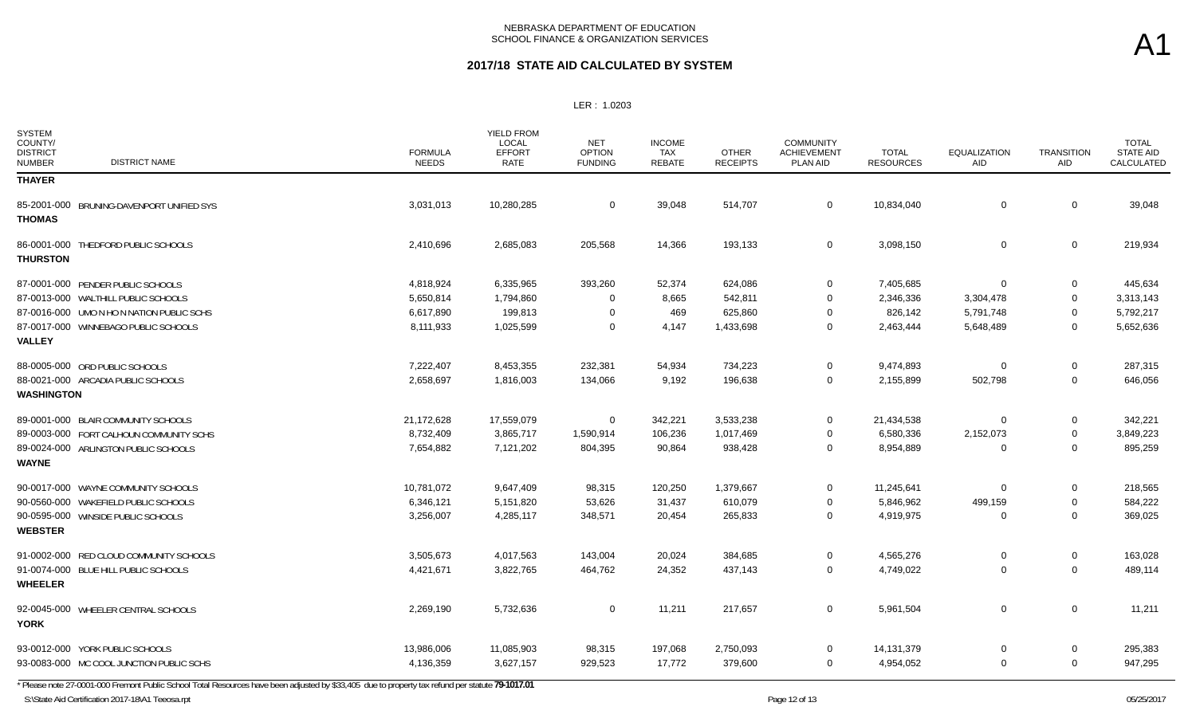#### LER : 1.0203

| <b>SYSTEM</b><br>COUNTY/<br><b>DISTRICT</b><br><b>DISTRICT NAME</b><br><b>NUMBER</b> | <b>FORMULA</b><br><b>NEEDS</b> | <b>YIELD FROM</b><br><b>LOCAL</b><br><b>EFFORT</b><br>RATE | <b>NET</b><br><b>OPTION</b><br><b>FUNDING</b> | <b>INCOME</b><br><b>TAX</b><br><b>REBATE</b> | <b>OTHER</b><br><b>RECEIPTS</b> | <b>COMMUNITY</b><br><b>ACHIEVEMENT</b><br>PLAN AID | <b>TOTAL</b><br><b>RESOURCES</b> | <b>EQUALIZATION</b><br>AID | <b>TRANSITION</b><br>AID | <b>TOTAL</b><br>STATE AID<br>CALCULATED |
|--------------------------------------------------------------------------------------|--------------------------------|------------------------------------------------------------|-----------------------------------------------|----------------------------------------------|---------------------------------|----------------------------------------------------|----------------------------------|----------------------------|--------------------------|-----------------------------------------|
| <b>THAYER</b>                                                                        |                                |                                                            |                                               |                                              |                                 |                                                    |                                  |                            |                          |                                         |
| 85-2001-000 BRUNING-DAVENPORT UNIFIED SYS<br><b>THOMAS</b>                           | 3,031,013                      | 10,280,285                                                 | $\mathbf 0$                                   | 39,048                                       | 514,707                         | $\mathbf 0$                                        | 10,834,040                       | $\Omega$                   | 0                        | 39,048                                  |
| 86-0001-000 THEDFORD PUBLIC SCHOOLS<br><b>THURSTON</b>                               | 2,410,696                      | 2,685,083                                                  | 205,568                                       | 14,366                                       | 193,133                         | $\mathbf 0$                                        | 3,098,150                        | 0                          | 0                        | 219,934                                 |
| 87-0001-000 PENDER PUBLIC SCHOOLS                                                    | 4,818,924                      | 6,335,965                                                  | 393,260                                       | 52,374                                       | 624,086                         | $\mathbf 0$                                        | 7,405,685                        | $\Omega$                   | 0                        | 445,634                                 |
| 87-0013-000 WALTHILL PUBLIC SCHOOLS                                                  | 5,650,814                      | 1,794,860                                                  | $\Omega$                                      | 8,665                                        | 542,811                         | $\mathbf 0$                                        | 2,346,336                        | 3,304,478                  | 0                        | 3,313,143                               |
| 87-0016-000 UMO N HO N NATION PUBLIC SCHS                                            | 6,617,890                      | 199,813                                                    | $\Omega$                                      | 469                                          | 625,860                         | 0                                                  | 826,142                          | 5,791,748                  | 0                        | 5,792,217                               |
| 87-0017-000 WINNEBAGO PUBLIC SCHOOLS<br><b>VALLEY</b>                                | 8,111,933                      | 1,025,599                                                  | $\Omega$                                      | 4,147                                        | 1,433,698                       | $\mathbf 0$                                        | 2,463,444                        | 5,648,489                  | 0                        | 5,652,636                               |
| 88-0005-000 ORD PUBLIC SCHOOLS                                                       | 7,222,407                      | 8,453,355                                                  | 232,381                                       | 54,934                                       | 734,223                         | $\mathbf 0$                                        | 9,474,893                        | $\Omega$                   | 0                        | 287,315                                 |
| 88-0021-000 ARCADIA PUBLIC SCHOOLS<br><b>WASHINGTON</b>                              | 2,658,697                      | 1,816,003                                                  | 134,066                                       | 9,192                                        | 196,638                         | $\overline{0}$                                     | 2,155,899                        | 502,798                    | $\mathbf 0$              | 646,056                                 |
| 89-0001-000 BLAIR COMMUNITY SCHOOLS                                                  | 21,172,628                     | 17,559,079                                                 | $\Omega$                                      | 342,221                                      | 3,533,238                       | $\mathbf 0$                                        | 21,434,538                       | 0                          | 0                        | 342,221                                 |
| 89-0003-000 FORT CALHOUN COMMUNITY SCHS                                              | 8,732,409                      | 3,865,717                                                  | 1,590,914                                     | 106,236                                      | 1,017,469                       | $\mathbf 0$                                        | 6,580,336                        | 2,152,073                  | 0                        | 3,849,223                               |
| 89-0024-000 ARLINGTON PUBLIC SCHOOLS<br><b>WAYNE</b>                                 | 7,654,882                      | 7,121,202                                                  | 804,395                                       | 90,864                                       | 938,428                         | $\overline{0}$                                     | 8,954,889                        | $\Omega$                   | $\Omega$                 | 895,259                                 |
| 90-0017-000 WAYNE COMMUNITY SCHOOLS                                                  | 10,781,072                     | 9,647,409                                                  | 98,315                                        | 120,250                                      | 1,379,667                       | $\mathbf 0$                                        | 11,245,641                       | $\Omega$                   | 0                        | 218,565                                 |
| 90-0560-000 WAKEFIELD PUBLIC SCHOOLS                                                 | 6,346,121                      | 5,151,820                                                  | 53,626                                        | 31,437                                       | 610,079                         | $\mathbf 0$                                        | 5,846,962                        | 499,159                    | 0                        | 584,222                                 |
| 90-0595-000 WINSIDE PUBLIC SCHOOLS<br><b>WEBSTER</b>                                 | 3,256,007                      | 4,285,117                                                  | 348,571                                       | 20,454                                       | 265,833                         | $\overline{0}$                                     | 4,919,975                        | $\Omega$                   | $\mathbf 0$              | 369,025                                 |
| 91-0002-000 RED CLOUD COMMUNITY SCHOOLS                                              | 3,505,673                      | 4,017,563                                                  | 143,004                                       | 20,024                                       | 384,685                         | $\mathbf 0$                                        | 4,565,276                        | 0                          | $\mathbf 0$              | 163,028                                 |
| 91-0074-000 BLUE HILL PUBLIC SCHOOLS<br><b>WHEELER</b>                               | 4,421,671                      | 3,822,765                                                  | 464,762                                       | 24,352                                       | 437,143                         | $\mathbf 0$                                        | 4,749,022                        | 0                          | $\mathbf 0$              | 489,114                                 |
| 92-0045-000 WHEELER CENTRAL SCHOOLS<br><b>YORK</b>                                   | 2,269,190                      | 5,732,636                                                  | $\mathbf 0$                                   | 11,211                                       | 217,657                         | $\mathbf 0$                                        | 5,961,504                        | $\mathbf 0$                | $\mathbf 0$              | 11,211                                  |
| 93-0012-000 YORK PUBLIC SCHOOLS                                                      | 13,986,006                     | 11,085,903                                                 | 98,315                                        | 197,068                                      | 2,750,093                       | $\mathbf 0$                                        | 14, 131, 379                     | $\Omega$                   | 0                        | 295,383                                 |
| 93-0083-000 MC COOL JUNCTION PUBLIC SCHS                                             | 4,136,359                      | 3,627,157                                                  | 929,523                                       | 17,772                                       | 379,600                         | $\overline{0}$                                     | 4,954,052                        | $\Omega$                   | $\Omega$                 | 947,295                                 |

\* Please note 27-0001-000 Fremont Public School Total Resources have been adjusted by \$33,405 due to property tax refund per statute **79-1017.01**

S:\State Aid Certification 2017-18\A1 Teeosa.rpt 05/25/2017